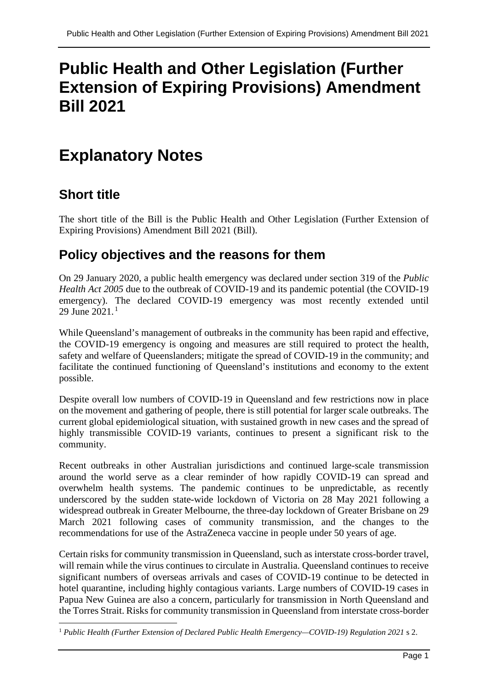# **Public Health and Other Legislation (Further Extension of Expiring Provisions) Amendment Bill 2021**

# **Explanatory Notes**

# **Short title**

The short title of the Bill is the Public Health and Other Legislation (Further Extension of Expiring Provisions) Amendment Bill 2021 (Bill).

# **Policy objectives and the reasons for them**

On 29 January 2020, a public health emergency was declared under section 319 of the *Public Health Act 2005* due to the outbreak of COVID-19 and its pandemic potential (the COVID-19 emergency). The declared COVID-19 emergency was most recently extended until 29 June 202[1](#page-0-0).<sup>1</sup>

While Queensland's management of outbreaks in the community has been rapid and effective, the COVID-19 emergency is ongoing and measures are still required to protect the health, safety and welfare of Queenslanders; mitigate the spread of COVID-19 in the community; and facilitate the continued functioning of Queensland's institutions and economy to the extent possible.

Despite overall low numbers of COVID-19 in Queensland and few restrictions now in place on the movement and gathering of people, there is still potential for larger scale outbreaks. The current global epidemiological situation, with sustained growth in new cases and the spread of highly transmissible COVID-19 variants, continues to present a significant risk to the community.

Recent outbreaks in other Australian jurisdictions and continued large-scale transmission around the world serve as a clear reminder of how rapidly COVID-19 can spread and overwhelm health systems. The pandemic continues to be unpredictable, as recently underscored by the sudden state-wide lockdown of Victoria on 28 May 2021 following a widespread outbreak in Greater Melbourne, the three-day lockdown of Greater Brisbane on 29 March 2021 following cases of community transmission, and the changes to the recommendations for use of the AstraZeneca vaccine in people under 50 years of age.

Certain risks for community transmission in Queensland, such as interstate cross-border travel, will remain while the virus continues to circulate in Australia. Queensland continues to receive significant numbers of overseas arrivals and cases of COVID-19 continue to be detected in hotel quarantine, including highly contagious variants. Large numbers of COVID-19 cases in Papua New Guinea are also a concern, particularly for transmission in North Queensland and the Torres Strait. Risks for community transmission in Queensland from interstate cross-border

<span id="page-0-0"></span><sup>1</sup> *Public Health (Further Extension of Declared Public Health Emergency—COVID-19) Regulation 2021* s 2.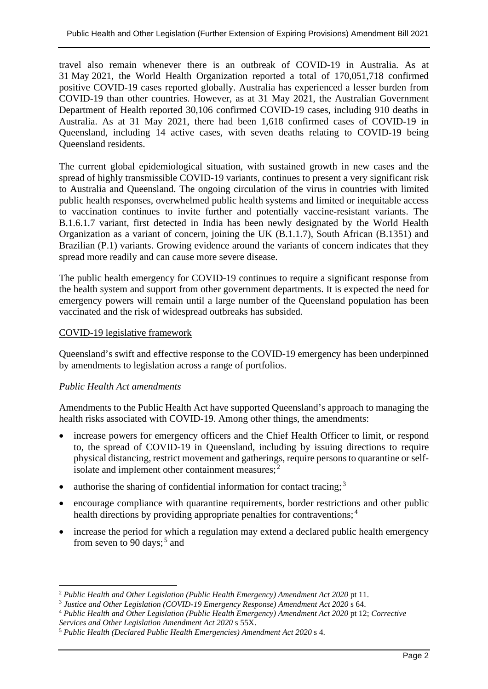travel also remain whenever there is an outbreak of COVID-19 in Australia. As at 31 May 2021, the World Health Organization reported a total of 170,051,718 confirmed positive COVID-19 cases reported globally. Australia has experienced a lesser burden from COVID-19 than other countries. However, as at 31 May 2021, the Australian Government Department of Health reported 30,106 confirmed COVID-19 cases, including 910 deaths in Australia. As at 31 May 2021, there had been 1,618 confirmed cases of COVID-19 in Queensland, including 14 active cases, with seven deaths relating to COVID-19 being Queensland residents.

The current global epidemiological situation, with sustained growth in new cases and the spread of highly transmissible COVID-19 variants, continues to present a very significant risk to Australia and Queensland. The ongoing circulation of the virus in countries with limited public health responses, overwhelmed public health systems and limited or inequitable access to vaccination continues to invite further and potentially vaccine-resistant variants. The B.1.6.1.7 variant, first detected in India has been newly designated by the World Health Organization as a variant of concern, joining the UK (B.1.1.7), South African (B.1351) and Brazilian (P.1) variants. Growing evidence around the variants of concern indicates that they spread more readily and can cause more severe disease.

The public health emergency for COVID-19 continues to require a significant response from the health system and support from other government departments. It is expected the need for emergency powers will remain until a large number of the Queensland population has been vaccinated and the risk of widespread outbreaks has subsided.

#### COVID-19 legislative framework

Queensland's swift and effective response to the COVID-19 emergency has been underpinned by amendments to legislation across a range of portfolios.

#### *Public Health Act amendments*

Amendments to the Public Health Act have supported Queensland's approach to managing the health risks associated with COVID-19. Among other things, the amendments:

- increase powers for emergency officers and the Chief Health Officer to limit, or respond to, the spread of COVID-19 in Queensland, including by issuing directions to require physical distancing, restrict movement and gatherings, require persons to quarantine or self-isolate and implement other containment measures;<sup>[2](#page-1-0)</sup>
- $\bullet$  authorise the sharing of confidential information for contact tracing;<sup>[3](#page-1-1)</sup>
- encourage compliance with quarantine requirements, border restrictions and other public health directions by providing appropriate penalties for contraventions;<sup>[4](#page-1-2)</sup>
- increase the period for which a regulation may extend a declared public health emergency from seven to 90 days;<sup>[5](#page-1-3)</sup> and

<span id="page-1-0"></span><sup>2</sup> *Public Health and Other Legislation (Public Health Emergency) Amendment Act 2020* pt 11.

<span id="page-1-1"></span><sup>3</sup> *Justice and Other Legislation (COVID-19 Emergency Response) Amendment Act 2020* s 64.

<span id="page-1-2"></span><sup>4</sup> *Public Health and Other Legislation (Public Health Emergency) Amendment Act 2020* pt 12; *Corrective Services and Other Legislation Amendment Act 2020* s 55X.

<span id="page-1-3"></span><sup>5</sup> *Public Health (Declared Public Health Emergencies) Amendment Act 2020* s 4.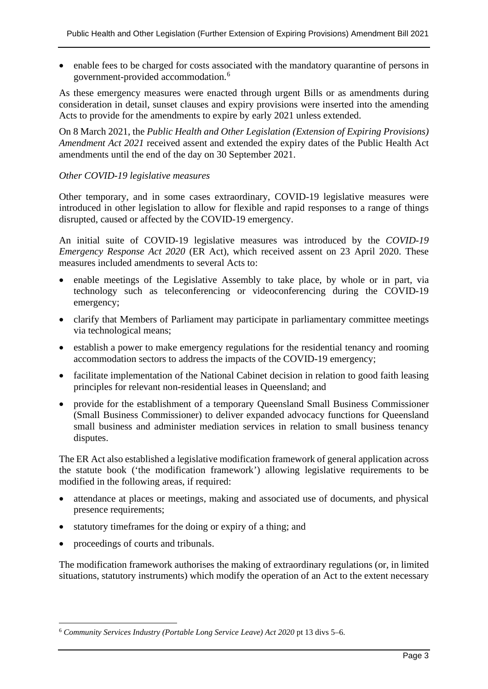• enable fees to be charged for costs associated with the mandatory quarantine of persons in government-provided accommodation. [6](#page-2-0)

As these emergency measures were enacted through urgent Bills or as amendments during consideration in detail, sunset clauses and expiry provisions were inserted into the amending Acts to provide for the amendments to expire by early 2021 unless extended.

On 8 March 2021, the *Public Health and Other Legislation (Extension of Expiring Provisions) Amendment Act 2021* received assent and extended the expiry dates of the Public Health Act amendments until the end of the day on 30 September 2021.

#### *Other COVID-19 legislative measures*

Other temporary, and in some cases extraordinary, COVID-19 legislative measures were introduced in other legislation to allow for flexible and rapid responses to a range of things disrupted, caused or affected by the COVID-19 emergency.

An initial suite of COVID-19 legislative measures was introduced by the *COVID-19 Emergency Response Act 2020* (ER Act), which received assent on 23 April 2020. These measures included amendments to several Acts to:

- enable meetings of the Legislative Assembly to take place, by whole or in part, via technology such as teleconferencing or videoconferencing during the COVID-19 emergency;
- clarify that Members of Parliament may participate in parliamentary committee meetings via technological means;
- establish a power to make emergency regulations for the residential tenancy and rooming accommodation sectors to address the impacts of the COVID-19 emergency;
- facilitate implementation of the National Cabinet decision in relation to good faith leasing principles for relevant non-residential leases in Queensland; and
- provide for the establishment of a temporary Queensland Small Business Commissioner (Small Business Commissioner) to deliver expanded advocacy functions for Queensland small business and administer mediation services in relation to small business tenancy disputes.

The ER Act also established a legislative modification framework of general application across the statute book ('the modification framework') allowing legislative requirements to be modified in the following areas, if required:

- attendance at places or meetings, making and associated use of documents, and physical presence requirements;
- statutory timeframes for the doing or expiry of a thing; and
- proceedings of courts and tribunals.

The modification framework authorises the making of extraordinary regulations (or, in limited situations, statutory instruments) which modify the operation of an Act to the extent necessary

<span id="page-2-0"></span><sup>6</sup> *Community Services Industry (Portable Long Service Leave) Act 2020* pt 13 divs 5–6.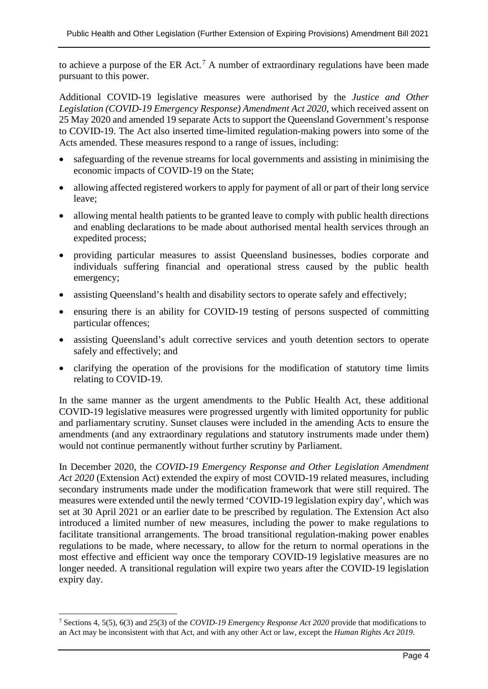to achieve a purpose of the ER Act.<sup>[7](#page-3-0)</sup> A number of extraordinary regulations have been made pursuant to this power.

Additional COVID-19 legislative measures were authorised by the *Justice and Other Legislation (COVID-19 Emergency Response) Amendment Act 2020*, which received assent on 25 May 2020 and amended 19 separate Acts to support the Queensland Government's response to COVID-19. The Act also inserted time-limited regulation-making powers into some of the Acts amended. These measures respond to a range of issues, including:

- safeguarding of the revenue streams for local governments and assisting in minimising the economic impacts of COVID-19 on the State;
- allowing affected registered workers to apply for payment of all or part of their long service leave;
- allowing mental health patients to be granted leave to comply with public health directions and enabling declarations to be made about authorised mental health services through an expedited process;
- providing particular measures to assist Queensland businesses, bodies corporate and individuals suffering financial and operational stress caused by the public health emergency;
- assisting Queensland's health and disability sectors to operate safely and effectively;
- ensuring there is an ability for COVID-19 testing of persons suspected of committing particular offences;
- assisting Queensland's adult corrective services and youth detention sectors to operate safely and effectively; and
- clarifying the operation of the provisions for the modification of statutory time limits relating to COVID-19.

In the same manner as the urgent amendments to the Public Health Act, these additional COVID-19 legislative measures were progressed urgently with limited opportunity for public and parliamentary scrutiny. Sunset clauses were included in the amending Acts to ensure the amendments (and any extraordinary regulations and statutory instruments made under them) would not continue permanently without further scrutiny by Parliament.

In December 2020, the *COVID-19 Emergency Response and Other Legislation Amendment Act 2020* (Extension Act) extended the expiry of most COVID-19 related measures, including secondary instruments made under the modification framework that were still required. The measures were extended until the newly termed 'COVID-19 legislation expiry day', which was set at 30 April 2021 or an earlier date to be prescribed by regulation. The Extension Act also introduced a limited number of new measures, including the power to make regulations to facilitate transitional arrangements. The broad transitional regulation-making power enables regulations to be made, where necessary, to allow for the return to normal operations in the most effective and efficient way once the temporary COVID-19 legislative measures are no longer needed. A transitional regulation will expire two years after the COVID-19 legislation expiry day.

<span id="page-3-0"></span><sup>7</sup> Sections 4, 5(5), 6(3) and 25(3) of the *COVID-19 Emergency Response Act 2020* provide that modifications to an Act may be inconsistent with that Act, and with any other Act or law, except the *Human Rights Act 2019*.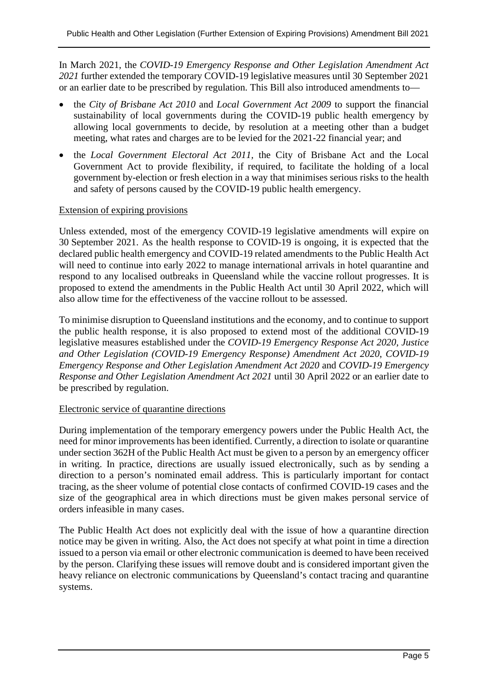In March 2021, the *COVID-19 Emergency Response and Other Legislation Amendment Act 2021* further extended the temporary COVID-19 legislative measures until 30 September 2021 or an earlier date to be prescribed by regulation. This Bill also introduced amendments to—

- the *City of Brisbane Act 2010* and *Local Government Act 2009* to support the financial sustainability of local governments during the COVID-19 public health emergency by allowing local governments to decide, by resolution at a meeting other than a budget meeting, what rates and charges are to be levied for the 2021-22 financial year; and
- the *Local Government Electoral Act 2011,* the City of Brisbane Act and the Local Government Act to provide flexibility, if required, to facilitate the holding of a local government by-election or fresh election in a way that minimises serious risks to the health and safety of persons caused by the COVID-19 public health emergency.

#### Extension of expiring provisions

Unless extended, most of the emergency COVID-19 legislative amendments will expire on 30 September 2021. As the health response to COVID-19 is ongoing, it is expected that the declared public health emergency and COVID-19 related amendments to the Public Health Act will need to continue into early 2022 to manage international arrivals in hotel quarantine and respond to any localised outbreaks in Queensland while the vaccine rollout progresses. It is proposed to extend the amendments in the Public Health Act until 30 April 2022, which will also allow time for the effectiveness of the vaccine rollout to be assessed.

To minimise disruption to Queensland institutions and the economy, and to continue to support the public health response, it is also proposed to extend most of the additional COVID-19 legislative measures established under the *COVID-19 Emergency Response Act 2020*, *Justice and Other Legislation (COVID-19 Emergency Response) Amendment Act 2020*, *COVID-19 Emergency Response and Other Legislation Amendment Act 2020* and *COVID-19 Emergency Response and Other Legislation Amendment Act 2021* until 30 April 2022 or an earlier date to be prescribed by regulation.

#### Electronic service of quarantine directions

During implementation of the temporary emergency powers under the Public Health Act, the need for minor improvements has been identified. Currently, a direction to isolate or quarantine under section 362H of the Public Health Act must be given to a person by an emergency officer in writing. In practice, directions are usually issued electronically, such as by sending a direction to a person's nominated email address. This is particularly important for contact tracing, as the sheer volume of potential close contacts of confirmed COVID-19 cases and the size of the geographical area in which directions must be given makes personal service of orders infeasible in many cases.

The Public Health Act does not explicitly deal with the issue of how a quarantine direction notice may be given in writing. Also, the Act does not specify at what point in time a direction issued to a person via email or other electronic communication is deemed to have been received by the person. Clarifying these issues will remove doubt and is considered important given the heavy reliance on electronic communications by Queensland's contact tracing and quarantine systems.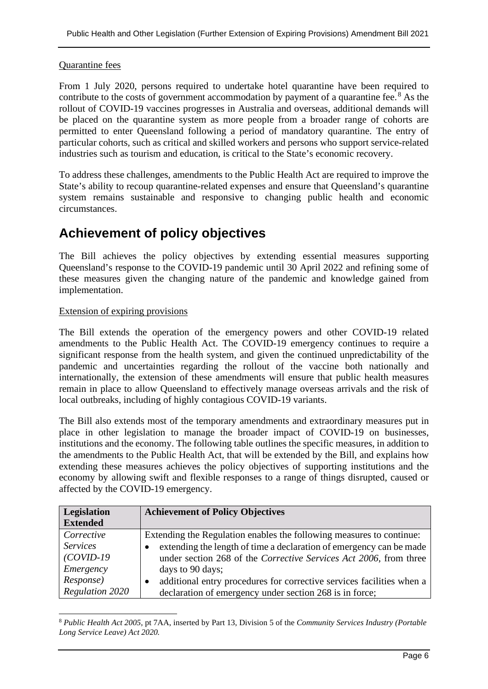#### Quarantine fees

From 1 July 2020, persons required to undertake hotel quarantine have been required to contribute to the costs of government accommodation by payment of a quarantine fee.<sup>[8](#page-5-0)</sup> As the rollout of COVID-19 vaccines progresses in Australia and overseas, additional demands will be placed on the quarantine system as more people from a broader range of cohorts are permitted to enter Queensland following a period of mandatory quarantine. The entry of particular cohorts, such as critical and skilled workers and persons who support service-related industries such as tourism and education, is critical to the State's economic recovery.

To address these challenges, amendments to the Public Health Act are required to improve the State's ability to recoup quarantine-related expenses and ensure that Queensland's quarantine system remains sustainable and responsive to changing public health and economic circumstances.

# **Achievement of policy objectives**

The Bill achieves the policy objectives by extending essential measures supporting Queensland's response to the COVID-19 pandemic until 30 April 2022 and refining some of these measures given the changing nature of the pandemic and knowledge gained from implementation.

#### Extension of expiring provisions

The Bill extends the operation of the emergency powers and other COVID-19 related amendments to the Public Health Act. The COVID-19 emergency continues to require a significant response from the health system, and given the continued unpredictability of the pandemic and uncertainties regarding the rollout of the vaccine both nationally and internationally, the extension of these amendments will ensure that public health measures remain in place to allow Queensland to effectively manage overseas arrivals and the risk of local outbreaks, including of highly contagious COVID-19 variants.

The Bill also extends most of the temporary amendments and extraordinary measures put in place in other legislation to manage the broader impact of COVID-19 on businesses, institutions and the economy. The following table outlines the specific measures, in addition to the amendments to the Public Health Act, that will be extended by the Bill, and explains how extending these measures achieves the policy objectives of supporting institutions and the economy by allowing swift and flexible responses to a range of things disrupted, caused or affected by the COVID-19 emergency.

| Legislation     | <b>Achievement of Policy Objectives</b>                                          |
|-----------------|----------------------------------------------------------------------------------|
| <b>Extended</b> |                                                                                  |
| Corrective      | Extending the Regulation enables the following measures to continue:             |
| <i>Services</i> | extending the length of time a declaration of emergency can be made<br>$\bullet$ |
| $(COVID-19$     | under section 268 of the Corrective Services Act 2006, from three                |
| Emergency       | days to 90 days;                                                                 |
| Response)       | additional entry procedures for corrective services facilities when a<br>٠       |
| Regulation 2020 | declaration of emergency under section 268 is in force;                          |

<span id="page-5-0"></span><sup>8</sup> *Public Health Act 2005*, pt 7AA, inserted by Part 13, Division 5 of the *Community Services Industry (Portable Long Service Leave) Act 2020.*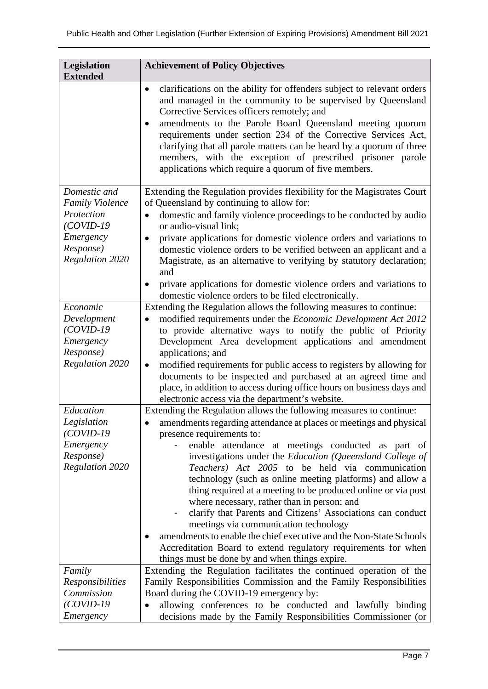| Legislation<br><b>Extended</b>                                                                                          | <b>Achievement of Policy Objectives</b>                                                                                                                                                                                                                                                                                                                                                                                                                                                                                                                                                                                                                                                                                                                                                                                          |
|-------------------------------------------------------------------------------------------------------------------------|----------------------------------------------------------------------------------------------------------------------------------------------------------------------------------------------------------------------------------------------------------------------------------------------------------------------------------------------------------------------------------------------------------------------------------------------------------------------------------------------------------------------------------------------------------------------------------------------------------------------------------------------------------------------------------------------------------------------------------------------------------------------------------------------------------------------------------|
|                                                                                                                         | clarifications on the ability for offenders subject to relevant orders<br>$\bullet$<br>and managed in the community to be supervised by Queensland<br>Corrective Services officers remotely; and<br>amendments to the Parole Board Queensland meeting quorum<br>requirements under section 234 of the Corrective Services Act,<br>clarifying that all parole matters can be heard by a quorum of three<br>members, with the exception of prescribed prisoner parole<br>applications which require a quorum of five members.                                                                                                                                                                                                                                                                                                      |
| Domestic and<br><b>Family Violence</b><br>Protection<br>$(COVID-19$<br>Emergency<br>Response)<br><b>Regulation 2020</b> | Extending the Regulation provides flexibility for the Magistrates Court<br>of Queensland by continuing to allow for:<br>domestic and family violence proceedings to be conducted by audio<br>$\bullet$<br>or audio-visual link;<br>private applications for domestic violence orders and variations to<br>٠<br>domestic violence orders to be verified between an applicant and a<br>Magistrate, as an alternative to verifying by statutory declaration;<br>and<br>private applications for domestic violence orders and variations to<br>$\bullet$<br>domestic violence orders to be filed electronically.                                                                                                                                                                                                                     |
| Economic<br>Development<br>$(COVID-19$<br>Emergency<br>Response)<br><b>Regulation 2020</b>                              | Extending the Regulation allows the following measures to continue:<br>modified requirements under the Economic Development Act 2012<br>$\bullet$<br>to provide alternative ways to notify the public of Priority<br>Development Area development applications and amendment<br>applications; and<br>modified requirements for public access to registers by allowing for<br>$\bullet$<br>documents to be inspected and purchased at an agreed time and<br>place, in addition to access during office hours on business days and<br>electronic access via the department's website.                                                                                                                                                                                                                                              |
| Education<br>Legislation<br>$(COVID-19$<br>Emergency<br>Response)<br><b>Regulation 2020</b>                             | Extending the Regulation allows the following measures to continue:<br>amendments regarding attendance at places or meetings and physical<br>presence requirements to:<br>enable attendance at meetings conducted as part of<br>investigations under the Education (Queensland College of<br>Teachers) Act 2005 to be held via communication<br>technology (such as online meeting platforms) and allow a<br>thing required at a meeting to be produced online or via post<br>where necessary, rather than in person; and<br>clarify that Parents and Citizens' Associations can conduct<br>۰<br>meetings via communication technology<br>amendments to enable the chief executive and the Non-State Schools<br>Accreditation Board to extend regulatory requirements for when<br>things must be done by and when things expire. |
| Family<br>Responsibilities<br>Commission<br>$(COVID-19$<br>Emergency                                                    | Extending the Regulation facilitates the continued operation of the<br>Family Responsibilities Commission and the Family Responsibilities<br>Board during the COVID-19 emergency by:<br>allowing conferences to be conducted and lawfully binding<br>decisions made by the Family Responsibilities Commissioner (or                                                                                                                                                                                                                                                                                                                                                                                                                                                                                                              |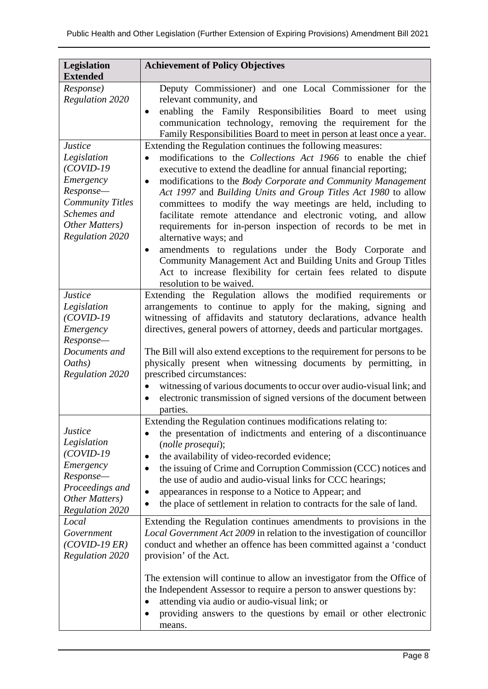| Legislation<br><b>Extended</b>                                                                                                                               | <b>Achievement of Policy Objectives</b>                                                                                                                                                                                                                                                                                                                                                                                                                                                                                                                                                                                                                                                                                                                                                                         |
|--------------------------------------------------------------------------------------------------------------------------------------------------------------|-----------------------------------------------------------------------------------------------------------------------------------------------------------------------------------------------------------------------------------------------------------------------------------------------------------------------------------------------------------------------------------------------------------------------------------------------------------------------------------------------------------------------------------------------------------------------------------------------------------------------------------------------------------------------------------------------------------------------------------------------------------------------------------------------------------------|
| Response)<br><b>Regulation 2020</b>                                                                                                                          | Deputy Commissioner) and one Local Commissioner for the<br>relevant community, and<br>enabling the Family Responsibilities Board to meet using<br>$\bullet$<br>communication technology, removing the requirement for the<br>Family Responsibilities Board to meet in person at least once a year.                                                                                                                                                                                                                                                                                                                                                                                                                                                                                                              |
| <b>Justice</b><br>Legislation<br>$(COVID-19$<br>Emergency<br>Response-<br><b>Community Titles</b><br>Schemes and<br>Other Matters)<br><b>Regulation 2020</b> | Extending the Regulation continues the following measures:<br>modifications to the Collections Act 1966 to enable the chief<br>executive to extend the deadline for annual financial reporting;<br>modifications to the Body Corporate and Community Management<br>$\bullet$<br>Act 1997 and Building Units and Group Titles Act 1980 to allow<br>committees to modify the way meetings are held, including to<br>facilitate remote attendance and electronic voting, and allow<br>requirements for in-person inspection of records to be met in<br>alternative ways; and<br>amendments to regulations under the Body Corporate and<br>$\bullet$<br>Community Management Act and Building Units and Group Titles<br>Act to increase flexibility for certain fees related to dispute<br>resolution to be waived. |
| <b>Justice</b><br>Legislation<br>$(COVID-19$<br>Emergency<br>Response-<br>Documents and<br>Oaths)<br><b>Regulation 2020</b>                                  | Extending the Regulation allows the modified requirements or<br>arrangements to continue to apply for the making, signing and<br>witnessing of affidavits and statutory declarations, advance health<br>directives, general powers of attorney, deeds and particular mortgages.<br>The Bill will also extend exceptions to the requirement for persons to be<br>physically present when witnessing documents by permitting, in<br>prescribed circumstances:<br>witnessing of various documents to occur over audio-visual link; and<br>$\bullet$<br>electronic transmission of signed versions of the document between                                                                                                                                                                                          |
| <b>Justice</b><br>Legislation<br>$(COVID-19$<br>Emergency<br>Response-<br>Proceedings and<br>Other Matters)<br><b>Regulation 2020</b><br>Local               | parties.<br>Extending the Regulation continues modifications relating to:<br>the presentation of indictments and entering of a discontinuance<br>(nolle prosequi);<br>the availability of video-recorded evidence;<br>$\bullet$<br>the issuing of Crime and Corruption Commission (CCC) notices and<br>the use of audio and audio-visual links for CCC hearings;<br>appearances in response to a Notice to Appear; and<br>the place of settlement in relation to contracts for the sale of land.<br>Extending the Regulation continues amendments to provisions in the                                                                                                                                                                                                                                          |
| Government<br>$(COVID-19 ER)$<br><b>Regulation 2020</b>                                                                                                      | Local Government Act 2009 in relation to the investigation of councillor<br>conduct and whether an offence has been committed against a 'conduct<br>provision' of the Act.<br>The extension will continue to allow an investigator from the Office of<br>the Independent Assessor to require a person to answer questions by:<br>attending via audio or audio-visual link; or<br>٠<br>providing answers to the questions by email or other electronic<br>means.                                                                                                                                                                                                                                                                                                                                                 |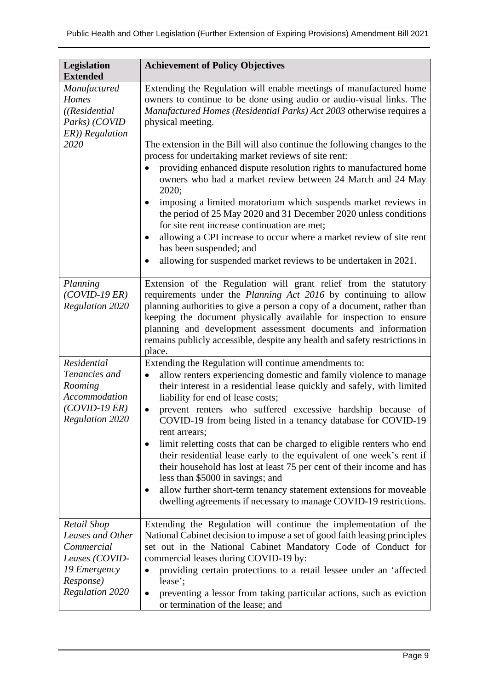| <b>Legislation</b><br><b>Extended</b>                                                                                  | <b>Achievement of Policy Objectives</b>                                                                                                                                                                                                                                                                                                                                                                                                                                                                                                                                                                                                                                                                                                                                                                                       |
|------------------------------------------------------------------------------------------------------------------------|-------------------------------------------------------------------------------------------------------------------------------------------------------------------------------------------------------------------------------------------------------------------------------------------------------------------------------------------------------------------------------------------------------------------------------------------------------------------------------------------------------------------------------------------------------------------------------------------------------------------------------------------------------------------------------------------------------------------------------------------------------------------------------------------------------------------------------|
| Manufactured<br>Homes<br>((Residential<br>Parks) (COVID                                                                | Extending the Regulation will enable meetings of manufactured home<br>owners to continue to be done using audio or audio-visual links. The<br>Manufactured Homes (Residential Parks) Act 2003 otherwise requires a<br>physical meeting.                                                                                                                                                                                                                                                                                                                                                                                                                                                                                                                                                                                       |
| ER)) Regulation<br>2020                                                                                                | The extension in the Bill will also continue the following changes to the<br>process for undertaking market reviews of site rent:<br>providing enhanced dispute resolution rights to manufactured home<br>owners who had a market review between 24 March and 24 May<br>2020;<br>imposing a limited moratorium which suspends market reviews in<br>the period of 25 May 2020 and 31 December 2020 unless conditions<br>for site rent increase continuation are met;<br>allowing a CPI increase to occur where a market review of site rent<br>has been suspended; and<br>allowing for suspended market reviews to be undertaken in 2021.                                                                                                                                                                                      |
| Planning<br>$(COVID-19 ER)$<br><b>Regulation 2020</b>                                                                  | Extension of the Regulation will grant relief from the statutory<br>requirements under the Planning Act 2016 by continuing to allow<br>planning authorities to give a person a copy of a document, rather than<br>keeping the document physically available for inspection to ensure<br>planning and development assessment documents and information<br>remains publicly accessible, despite any health and safety restrictions in<br>place.                                                                                                                                                                                                                                                                                                                                                                                 |
| Residential<br>Tenancies and<br>Rooming<br>Accommodation<br>$(COVID-19 ER)$<br><b>Regulation 2020</b>                  | Extending the Regulation will continue amendments to:<br>allow renters experiencing domestic and family violence to manage<br>their interest in a residential lease quickly and safely, with limited<br>liability for end of lease costs;<br>prevent renters who suffered excessive hardship because of<br>$\bullet$<br>COVID-19 from being listed in a tenancy database for COVID-19<br>rent arrears;<br>limit reletting costs that can be charged to eligible renters who end<br>$\bullet$<br>their residential lease early to the equivalent of one week's rent if<br>their household has lost at least 75 per cent of their income and has<br>less than \$5000 in savings; and<br>allow further short-term tenancy statement extensions for moveable<br>dwelling agreements if necessary to manage COVID-19 restrictions. |
| Retail Shop<br>Leases and Other<br>Commercial<br>Leases (COVID-<br>19 Emergency<br>Response)<br><b>Regulation 2020</b> | Extending the Regulation will continue the implementation of the<br>National Cabinet decision to impose a set of good faith leasing principles<br>set out in the National Cabinet Mandatory Code of Conduct for<br>commercial leases during COVID-19 by:<br>providing certain protections to a retail lessee under an 'affected<br>lease';<br>preventing a lessor from taking particular actions, such as eviction<br>$\bullet$<br>or termination of the lease; and                                                                                                                                                                                                                                                                                                                                                           |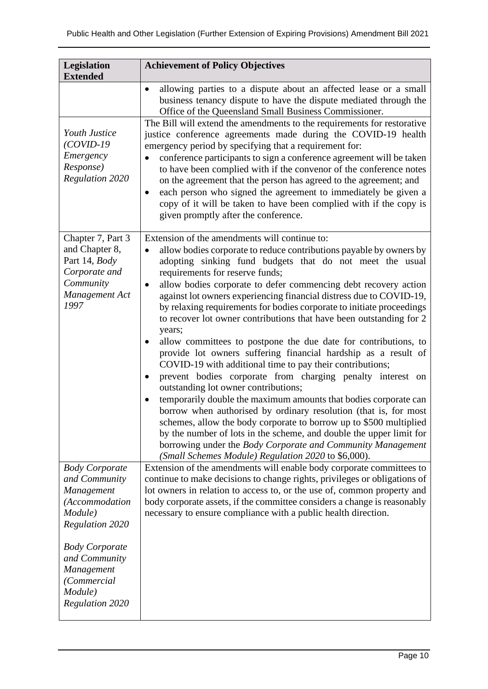| Legislation                                                                                                  | <b>Achievement of Policy Objectives</b>                                                                                                                                                                                                                                                                                                                                                                                                                                                                                                                                                                                                                                                                                                                                                                                                                                                                                                                                                                                                                                                                                                                                                                                                                      |
|--------------------------------------------------------------------------------------------------------------|--------------------------------------------------------------------------------------------------------------------------------------------------------------------------------------------------------------------------------------------------------------------------------------------------------------------------------------------------------------------------------------------------------------------------------------------------------------------------------------------------------------------------------------------------------------------------------------------------------------------------------------------------------------------------------------------------------------------------------------------------------------------------------------------------------------------------------------------------------------------------------------------------------------------------------------------------------------------------------------------------------------------------------------------------------------------------------------------------------------------------------------------------------------------------------------------------------------------------------------------------------------|
| <b>Extended</b><br>Youth Justice<br>$(COVID-19$<br>Emergency<br>Response)<br>Regulation 2020                 | allowing parties to a dispute about an affected lease or a small<br>business tenancy dispute to have the dispute mediated through the<br>Office of the Queensland Small Business Commissioner.<br>The Bill will extend the amendments to the requirements for restorative<br>justice conference agreements made during the COVID-19 health<br>emergency period by specifying that a requirement for:<br>conference participants to sign a conference agreement will be taken<br>to have been complied with if the convenor of the conference notes<br>on the agreement that the person has agreed to the agreement; and<br>each person who signed the agreement to immediately be given a<br>copy of it will be taken to have been complied with if the copy is<br>given promptly after the conference.                                                                                                                                                                                                                                                                                                                                                                                                                                                      |
| Chapter 7, Part 3<br>and Chapter 8,<br>Part 14, Body<br>Corporate and<br>Community<br>Management Act<br>1997 | Extension of the amendments will continue to:<br>allow bodies corporate to reduce contributions payable by owners by<br>adopting sinking fund budgets that do not meet the usual<br>requirements for reserve funds;<br>allow bodies corporate to defer commencing debt recovery action<br>against lot owners experiencing financial distress due to COVID-19,<br>by relaxing requirements for bodies corporate to initiate proceedings<br>to recover lot owner contributions that have been outstanding for 2<br>years;<br>allow committees to postpone the due date for contributions, to<br>provide lot owners suffering financial hardship as a result of<br>COVID-19 with additional time to pay their contributions;<br>prevent bodies corporate from charging penalty interest on<br>٠<br>outstanding lot owner contributions;<br>temporarily double the maximum amounts that bodies corporate can<br>$\bullet$<br>borrow when authorised by ordinary resolution (that is, for most<br>schemes, allow the body corporate to borrow up to \$500 multiplied<br>by the number of lots in the scheme, and double the upper limit for<br>borrowing under the Body Corporate and Community Management<br>(Small Schemes Module) Regulation 2020 to \$6,000). |
| <b>Body Corporate</b><br>and Community<br>Management<br>(Accommodation<br>Module)<br><b>Regulation 2020</b>  | Extension of the amendments will enable body corporate committees to<br>continue to make decisions to change rights, privileges or obligations of<br>lot owners in relation to access to, or the use of, common property and<br>body corporate assets, if the committee considers a change is reasonably<br>necessary to ensure compliance with a public health direction.                                                                                                                                                                                                                                                                                                                                                                                                                                                                                                                                                                                                                                                                                                                                                                                                                                                                                   |
| <b>Body Corporate</b><br>and Community<br>Management<br>(Commercial<br>Module)<br>Regulation 2020            |                                                                                                                                                                                                                                                                                                                                                                                                                                                                                                                                                                                                                                                                                                                                                                                                                                                                                                                                                                                                                                                                                                                                                                                                                                                              |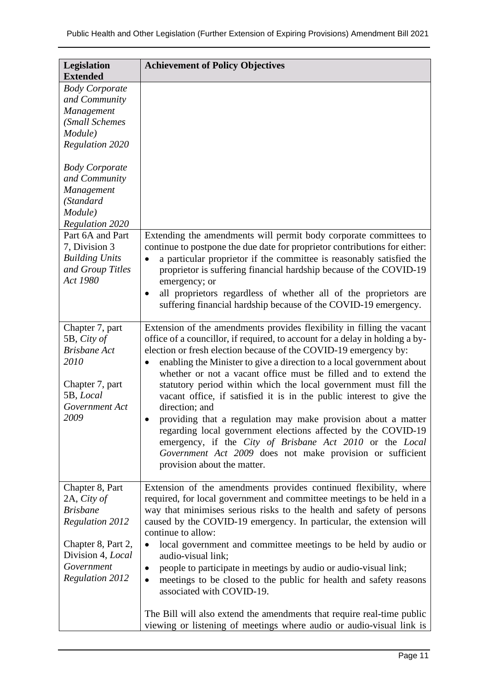| Legislation<br><b>Extended</b>                                                                                                                                 | <b>Achievement of Policy Objectives</b>                                                                                                                                                                                                                                                                                                                                                                                                                                                                                                                                                                                                                                                                                                                                                                                                     |
|----------------------------------------------------------------------------------------------------------------------------------------------------------------|---------------------------------------------------------------------------------------------------------------------------------------------------------------------------------------------------------------------------------------------------------------------------------------------------------------------------------------------------------------------------------------------------------------------------------------------------------------------------------------------------------------------------------------------------------------------------------------------------------------------------------------------------------------------------------------------------------------------------------------------------------------------------------------------------------------------------------------------|
| <b>Body Corporate</b><br>and Community<br>Management<br>(Small Schemes<br>Module)<br><b>Regulation 2020</b>                                                    |                                                                                                                                                                                                                                                                                                                                                                                                                                                                                                                                                                                                                                                                                                                                                                                                                                             |
| <b>Body Corporate</b><br>and Community<br>Management<br>(Standard<br>Module)<br><b>Regulation 2020</b>                                                         |                                                                                                                                                                                                                                                                                                                                                                                                                                                                                                                                                                                                                                                                                                                                                                                                                                             |
| Part 6A and Part<br>7, Division 3<br><b>Building Units</b><br>and Group Titles<br>Act 1980                                                                     | Extending the amendments will permit body corporate committees to<br>continue to postpone the due date for proprietor contributions for either:<br>a particular proprietor if the committee is reasonably satisfied the<br>$\bullet$<br>proprietor is suffering financial hardship because of the COVID-19<br>emergency; or<br>all proprietors regardless of whether all of the proprietors are<br>$\bullet$<br>suffering financial hardship because of the COVID-19 emergency.                                                                                                                                                                                                                                                                                                                                                             |
| Chapter 7, part<br>5B, City of<br><b>Brisbane Act</b><br>2010<br>Chapter 7, part<br>5B, Local<br>Government Act<br>2009                                        | Extension of the amendments provides flexibility in filling the vacant<br>office of a councillor, if required, to account for a delay in holding a by-<br>election or fresh election because of the COVID-19 emergency by:<br>enabling the Minister to give a direction to a local government about<br>$\bullet$<br>whether or not a vacant office must be filled and to extend the<br>statutory period within which the local government must fill the<br>vacant office, if satisfied it is in the public interest to give the<br>direction; and<br>providing that a regulation may make provision about a matter<br>regarding local government elections affected by the COVID-19<br>emergency, if the City of Brisbane Act 2010 or the Local<br>Government Act 2009 does not make provision or sufficient<br>provision about the matter. |
| Chapter 8, Part<br>2A, City of<br><b>Brisbane</b><br><b>Regulation 2012</b><br>Chapter 8, Part 2,<br>Division 4, Local<br>Government<br><b>Regulation 2012</b> | Extension of the amendments provides continued flexibility, where<br>required, for local government and committee meetings to be held in a<br>way that minimises serious risks to the health and safety of persons<br>caused by the COVID-19 emergency. In particular, the extension will<br>continue to allow:<br>local government and committee meetings to be held by audio or<br>$\bullet$<br>audio-visual link;<br>people to participate in meetings by audio or audio-visual link;<br>meetings to be closed to the public for health and safety reasons<br>$\bullet$<br>associated with COVID-19.                                                                                                                                                                                                                                     |
|                                                                                                                                                                | The Bill will also extend the amendments that require real-time public<br>viewing or listening of meetings where audio or audio-visual link is                                                                                                                                                                                                                                                                                                                                                                                                                                                                                                                                                                                                                                                                                              |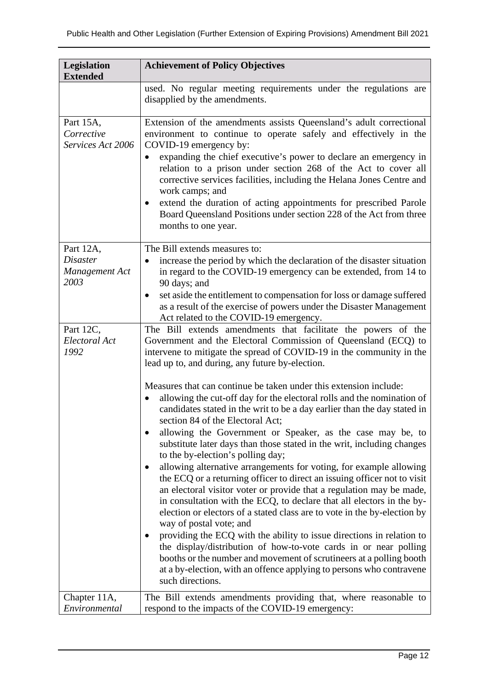| <b>Legislation</b><br><b>Extended</b>                  | <b>Achievement of Policy Objectives</b>                                                                                                                                                                                                                                                                                                                                                                                                                                                                                                                                                                                                                                                                                                                                                                                                                                                                                                                                                                             |
|--------------------------------------------------------|---------------------------------------------------------------------------------------------------------------------------------------------------------------------------------------------------------------------------------------------------------------------------------------------------------------------------------------------------------------------------------------------------------------------------------------------------------------------------------------------------------------------------------------------------------------------------------------------------------------------------------------------------------------------------------------------------------------------------------------------------------------------------------------------------------------------------------------------------------------------------------------------------------------------------------------------------------------------------------------------------------------------|
|                                                        | used. No regular meeting requirements under the regulations are<br>disapplied by the amendments.                                                                                                                                                                                                                                                                                                                                                                                                                                                                                                                                                                                                                                                                                                                                                                                                                                                                                                                    |
| Part 15A,<br>Corrective<br>Services Act 2006           | Extension of the amendments assists Queensland's adult correctional<br>environment to continue to operate safely and effectively in the<br>COVID-19 emergency by:<br>expanding the chief executive's power to declare an emergency in<br>$\bullet$<br>relation to a prison under section 268 of the Act to cover all<br>corrective services facilities, including the Helana Jones Centre and<br>work camps; and<br>extend the duration of acting appointments for prescribed Parole<br>Board Queensland Positions under section 228 of the Act from three<br>months to one year.                                                                                                                                                                                                                                                                                                                                                                                                                                   |
| Part 12A,<br><b>Disaster</b><br>Management Act<br>2003 | The Bill extends measures to:<br>increase the period by which the declaration of the disaster situation<br>in regard to the COVID-19 emergency can be extended, from 14 to<br>90 days; and<br>set aside the entitlement to compensation for loss or damage suffered<br>$\bullet$<br>as a result of the exercise of powers under the Disaster Management<br>Act related to the COVID-19 emergency.                                                                                                                                                                                                                                                                                                                                                                                                                                                                                                                                                                                                                   |
| Part 12C,<br>Electoral Act<br>1992                     | The Bill extends amendments that facilitate the powers of the<br>Government and the Electoral Commission of Queensland (ECQ) to<br>intervene to mitigate the spread of COVID-19 in the community in the<br>lead up to, and during, any future by-election.<br>Measures that can continue be taken under this extension include:<br>allowing the cut-off day for the electoral rolls and the nomination of<br>$\bullet$                                                                                                                                                                                                                                                                                                                                                                                                                                                                                                                                                                                              |
|                                                        | candidates stated in the writ to be a day earlier than the day stated in<br>section 84 of the Electoral Act;<br>allowing the Government or Speaker, as the case may be, to<br>substitute later days than those stated in the writ, including changes<br>to the by-election's polling day;<br>allowing alternative arrangements for voting, for example allowing<br>the ECQ or a returning officer to direct an issuing officer not to visit<br>an electoral visitor voter or provide that a regulation may be made,<br>in consultation with the ECQ, to declare that all electors in the by-<br>election or electors of a stated class are to vote in the by-election by<br>way of postal vote; and<br>providing the ECQ with the ability to issue directions in relation to<br>the display/distribution of how-to-vote cards in or near polling<br>booths or the number and movement of scrutineers at a polling booth<br>at a by-election, with an offence applying to persons who contravene<br>such directions. |
| Chapter 11A,<br>Environmental                          | The Bill extends amendments providing that, where reasonable to<br>respond to the impacts of the COVID-19 emergency:                                                                                                                                                                                                                                                                                                                                                                                                                                                                                                                                                                                                                                                                                                                                                                                                                                                                                                |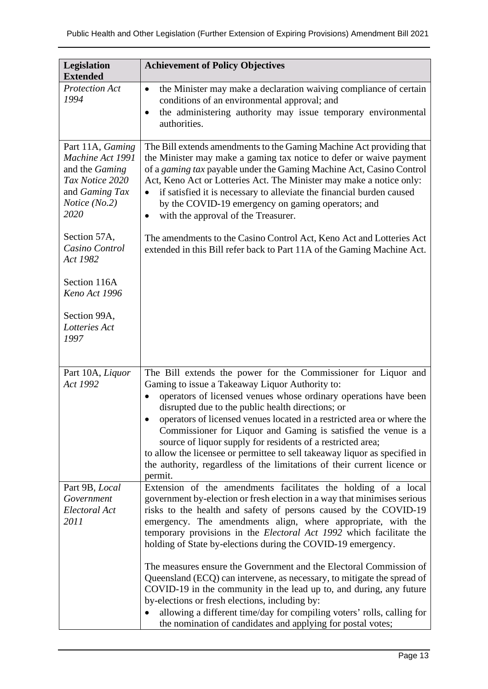| <b>Legislation</b>                                                                                                            | <b>Achievement of Policy Objectives</b>                                                                                                                                                                                                                                                                                                                                                                                                                                                                                                                                                                                                 |
|-------------------------------------------------------------------------------------------------------------------------------|-----------------------------------------------------------------------------------------------------------------------------------------------------------------------------------------------------------------------------------------------------------------------------------------------------------------------------------------------------------------------------------------------------------------------------------------------------------------------------------------------------------------------------------------------------------------------------------------------------------------------------------------|
| <b>Extended</b><br><b>Protection Act</b><br>1994                                                                              | the Minister may make a declaration waiving compliance of certain<br>$\bullet$<br>conditions of an environmental approval; and                                                                                                                                                                                                                                                                                                                                                                                                                                                                                                          |
|                                                                                                                               | the administering authority may issue temporary environmental<br>$\bullet$<br>authorities.                                                                                                                                                                                                                                                                                                                                                                                                                                                                                                                                              |
| Part 11A, Gaming<br>Machine Act 1991<br>and the Gaming<br>Tax Notice 2020<br>and Gaming Tax<br><i>Notice</i> $(No.2)$<br>2020 | The Bill extends amendments to the Gaming Machine Act providing that<br>the Minister may make a gaming tax notice to defer or waive payment<br>of a gaming tax payable under the Gaming Machine Act, Casino Control<br>Act, Keno Act or Lotteries Act. The Minister may make a notice only:<br>if satisfied it is necessary to alleviate the financial burden caused<br>by the COVID-19 emergency on gaming operators; and<br>with the approval of the Treasurer.                                                                                                                                                                       |
| Section 57A,<br>Casino Control<br>Act 1982                                                                                    | The amendments to the Casino Control Act, Keno Act and Lotteries Act<br>extended in this Bill refer back to Part 11A of the Gaming Machine Act.                                                                                                                                                                                                                                                                                                                                                                                                                                                                                         |
| Section 116A<br>Keno Act 1996                                                                                                 |                                                                                                                                                                                                                                                                                                                                                                                                                                                                                                                                                                                                                                         |
| Section 99A,<br>Lotteries Act<br>1997                                                                                         |                                                                                                                                                                                                                                                                                                                                                                                                                                                                                                                                                                                                                                         |
| Part 10A, Liquor<br>Act 1992                                                                                                  | The Bill extends the power for the Commissioner for Liquor and<br>Gaming to issue a Takeaway Liquor Authority to:<br>operators of licensed venues whose ordinary operations have been<br>$\bullet$<br>disrupted due to the public health directions; or<br>operators of licensed venues located in a restricted area or where the<br>Commissioner for Liquor and Gaming is satisfied the venue is a<br>source of liquor supply for residents of a restricted area;<br>to allow the licensee or permittee to sell takeaway liquor as specified in<br>the authority, regardless of the limitations of their current licence or<br>permit. |
| Part 9B, Local<br>Government<br>Electoral Act<br>2011                                                                         | Extension of the amendments facilitates the holding of a local<br>government by-election or fresh election in a way that minimises serious<br>risks to the health and safety of persons caused by the COVID-19<br>emergency. The amendments align, where appropriate, with the<br>temporary provisions in the Electoral Act 1992 which facilitate the<br>holding of State by-elections during the COVID-19 emergency.                                                                                                                                                                                                                   |
|                                                                                                                               | The measures ensure the Government and the Electoral Commission of<br>Queensland (ECQ) can intervene, as necessary, to mitigate the spread of<br>COVID-19 in the community in the lead up to, and during, any future<br>by-elections or fresh elections, including by:<br>allowing a different time/day for compiling voters' rolls, calling for<br>the nomination of candidates and applying for postal votes;                                                                                                                                                                                                                         |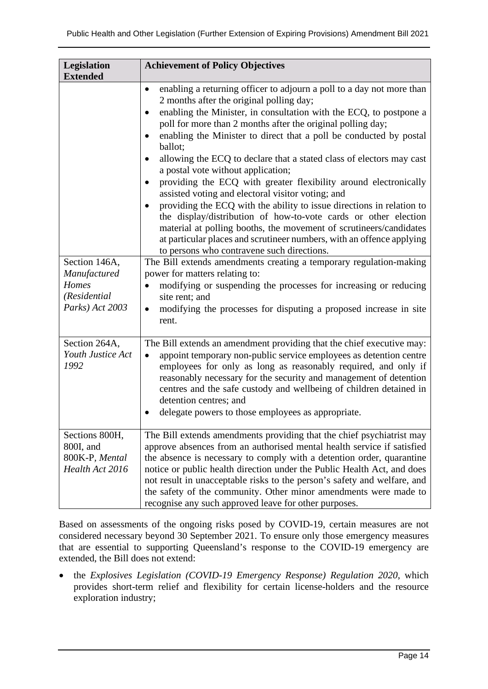| Legislation                                                                                  | <b>Achievement of Policy Objectives</b>                                                                                                                                                                                                                                                                                                                                                                                                                                                                                                                                                                                                                                                                                                                                                                                                                                                                                                                                                                                                                                                                                                                                                                                                                 |
|----------------------------------------------------------------------------------------------|---------------------------------------------------------------------------------------------------------------------------------------------------------------------------------------------------------------------------------------------------------------------------------------------------------------------------------------------------------------------------------------------------------------------------------------------------------------------------------------------------------------------------------------------------------------------------------------------------------------------------------------------------------------------------------------------------------------------------------------------------------------------------------------------------------------------------------------------------------------------------------------------------------------------------------------------------------------------------------------------------------------------------------------------------------------------------------------------------------------------------------------------------------------------------------------------------------------------------------------------------------|
| <b>Extended</b><br>Section 146A,<br>Manufactured<br>Homes<br>(Residential<br>Parks) Act 2003 | enabling a returning officer to adjourn a poll to a day not more than<br>$\bullet$<br>2 months after the original polling day;<br>enabling the Minister, in consultation with the ECQ, to postpone a<br>$\bullet$<br>poll for more than 2 months after the original polling day;<br>enabling the Minister to direct that a poll be conducted by postal<br>ballot;<br>allowing the ECQ to declare that a stated class of electors may cast<br>a postal vote without application;<br>providing the ECQ with greater flexibility around electronically<br>$\bullet$<br>assisted voting and electoral visitor voting; and<br>providing the ECQ with the ability to issue directions in relation to<br>the display/distribution of how-to-vote cards or other election<br>material at polling booths, the movement of scrutineers/candidates<br>at particular places and scrutineer numbers, with an offence applying<br>to persons who contravene such directions.<br>The Bill extends amendments creating a temporary regulation-making<br>power for matters relating to:<br>modifying or suspending the processes for increasing or reducing<br>site rent; and<br>modifying the processes for disputing a proposed increase in site<br>$\bullet$<br>rent. |
| Section 264A,<br>Youth Justice Act<br>1992                                                   | The Bill extends an amendment providing that the chief executive may:<br>appoint temporary non-public service employees as detention centre<br>employees for only as long as reasonably required, and only if<br>reasonably necessary for the security and management of detention<br>centres and the safe custody and wellbeing of children detained in<br>detention centres; and<br>delegate powers to those employees as appropriate.                                                                                                                                                                                                                                                                                                                                                                                                                                                                                                                                                                                                                                                                                                                                                                                                                |
| Sections 800H,<br>800I, and<br>800K-P, Mental<br>Health Act 2016                             | The Bill extends amendments providing that the chief psychiatrist may<br>approve absences from an authorised mental health service if satisfied<br>the absence is necessary to comply with a detention order, quarantine<br>notice or public health direction under the Public Health Act, and does<br>not result in unacceptable risks to the person's safety and welfare, and<br>the safety of the community. Other minor amendments were made to<br>recognise any such approved leave for other purposes.                                                                                                                                                                                                                                                                                                                                                                                                                                                                                                                                                                                                                                                                                                                                            |

Based on assessments of the ongoing risks posed by COVID-19, certain measures are not considered necessary beyond 30 September 2021. To ensure only those emergency measures that are essential to supporting Queensland's response to the COVID-19 emergency are extended, the Bill does not extend:

• the *Explosives Legislation (COVID-19 Emergency Response) Regulation 2020*, which provides short-term relief and flexibility for certain license-holders and the resource exploration industry;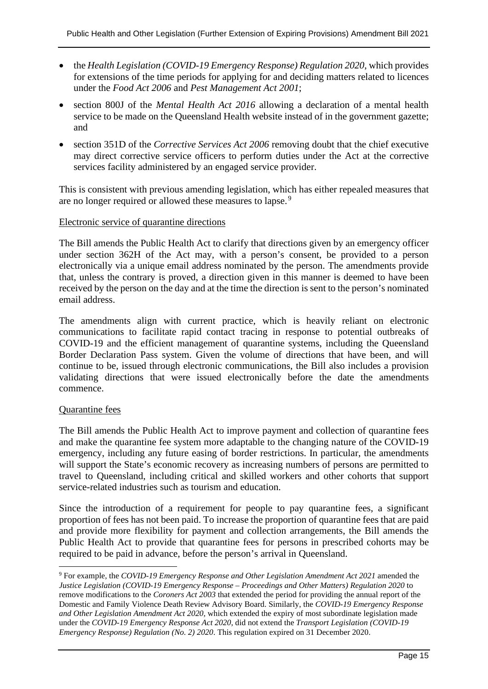- the *Health Legislation (COVID-19 Emergency Response) Regulation 2020*, which provides for extensions of the time periods for applying for and deciding matters related to licences under the *Food Act 2006* and *Pest Management Act 2001*;
- section 800J of the *Mental Health Act 2016* allowing a declaration of a mental health service to be made on the Queensland Health website instead of in the government gazette; and
- section 351D of the *Corrective Services Act 2006* removing doubt that the chief executive may direct corrective service officers to perform duties under the Act at the corrective services facility administered by an engaged service provider.

This is consistent with previous amending legislation, which has either repealed measures that are no longer required or allowed these measures to lapse.<sup>[9](#page-14-0)</sup>

#### Electronic service of quarantine directions

The Bill amends the Public Health Act to clarify that directions given by an emergency officer under section 362H of the Act may, with a person's consent, be provided to a person electronically via a unique email address nominated by the person. The amendments provide that, unless the contrary is proved, a direction given in this manner is deemed to have been received by the person on the day and at the time the direction is sent to the person's nominated email address.

The amendments align with current practice, which is heavily reliant on electronic communications to facilitate rapid contact tracing in response to potential outbreaks of COVID-19 and the efficient management of quarantine systems, including the Queensland Border Declaration Pass system. Given the volume of directions that have been, and will continue to be, issued through electronic communications, the Bill also includes a provision validating directions that were issued electronically before the date the amendments commence.

#### Quarantine fees

The Bill amends the Public Health Act to improve payment and collection of quarantine fees and make the quarantine fee system more adaptable to the changing nature of the COVID-19 emergency, including any future easing of border restrictions. In particular, the amendments will support the State's economic recovery as increasing numbers of persons are permitted to travel to Queensland, including critical and skilled workers and other cohorts that support service-related industries such as tourism and education.

Since the introduction of a requirement for people to pay quarantine fees, a significant proportion of fees has not been paid. To increase the proportion of quarantine fees that are paid and provide more flexibility for payment and collection arrangements, the Bill amends the Public Health Act to provide that quarantine fees for persons in prescribed cohorts may be required to be paid in advance, before the person's arrival in Queensland.

<span id="page-14-0"></span><sup>9</sup> For example, the *COVID-19 Emergency Response and Other Legislation Amendment Act 2021* amended the *Justice Legislation (COVID-19 Emergency Response – Proceedings and Other Matters) Regulation 2020* to remove modifications to the *Coroners Act 2003* that extended the period for providing the annual report of the Domestic and Family Violence Death Review Advisory Board. Similarly, the *COVID-19 Emergency Response and Other Legislation Amendment Act 2020*, which extended the expiry of most subordinate legislation made under the *COVID-19 Emergency Response Act 2020*, did not extend the *Transport Legislation (COVID-19 Emergency Response) Regulation (No. 2) 2020*. This regulation expired on 31 December 2020.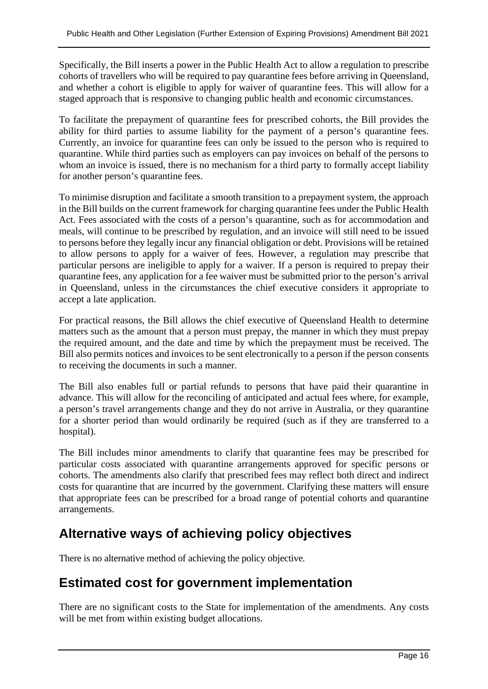Specifically, the Bill inserts a power in the Public Health Act to allow a regulation to prescribe cohorts of travellers who will be required to pay quarantine fees before arriving in Queensland, and whether a cohort is eligible to apply for waiver of quarantine fees. This will allow for a staged approach that is responsive to changing public health and economic circumstances.

To facilitate the prepayment of quarantine fees for prescribed cohorts, the Bill provides the ability for third parties to assume liability for the payment of a person's quarantine fees. Currently, an invoice for quarantine fees can only be issued to the person who is required to quarantine. While third parties such as employers can pay invoices on behalf of the persons to whom an invoice is issued, there is no mechanism for a third party to formally accept liability for another person's quarantine fees.

To minimise disruption and facilitate a smooth transition to a prepayment system, the approach in the Bill builds on the current framework for charging quarantine fees under the Public Health Act. Fees associated with the costs of a person's quarantine, such as for accommodation and meals, will continue to be prescribed by regulation, and an invoice will still need to be issued to persons before they legally incur any financial obligation or debt. Provisions will be retained to allow persons to apply for a waiver of fees. However, a regulation may prescribe that particular persons are ineligible to apply for a waiver. If a person is required to prepay their quarantine fees, any application for a fee waiver must be submitted prior to the person's arrival in Queensland, unless in the circumstances the chief executive considers it appropriate to accept a late application.

For practical reasons, the Bill allows the chief executive of Queensland Health to determine matters such as the amount that a person must prepay, the manner in which they must prepay the required amount, and the date and time by which the prepayment must be received. The Bill also permits notices and invoices to be sent electronically to a person if the person consents to receiving the documents in such a manner.

The Bill also enables full or partial refunds to persons that have paid their quarantine in advance. This will allow for the reconciling of anticipated and actual fees where, for example, a person's travel arrangements change and they do not arrive in Australia, or they quarantine for a shorter period than would ordinarily be required (such as if they are transferred to a hospital).

The Bill includes minor amendments to clarify that quarantine fees may be prescribed for particular costs associated with quarantine arrangements approved for specific persons or cohorts. The amendments also clarify that prescribed fees may reflect both direct and indirect costs for quarantine that are incurred by the government. Clarifying these matters will ensure that appropriate fees can be prescribed for a broad range of potential cohorts and quarantine arrangements.

# **Alternative ways of achieving policy objectives**

There is no alternative method of achieving the policy objective*.*

# **Estimated cost for government implementation**

There are no significant costs to the State for implementation of the amendments. Any costs will be met from within existing budget allocations.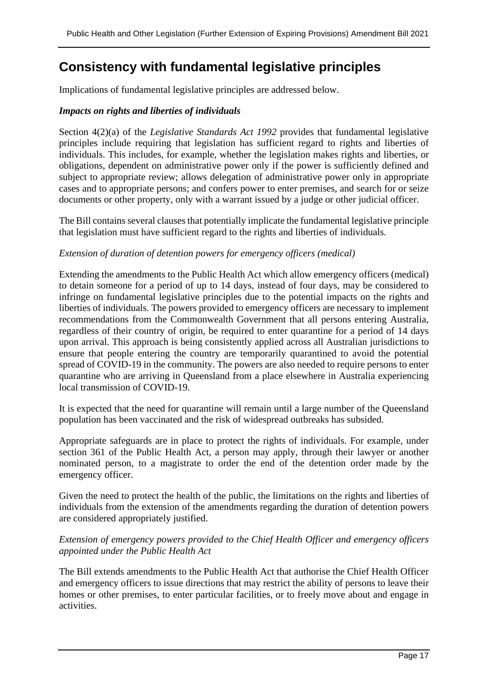# **Consistency with fundamental legislative principles**

Implications of fundamental legislative principles are addressed below.

#### *Impacts on rights and liberties of individuals*

Section 4(2)(a) of the *Legislative Standards Act 1992* provides that fundamental legislative principles include requiring that legislation has sufficient regard to rights and liberties of individuals. This includes, for example, whether the legislation makes rights and liberties, or obligations, dependent on administrative power only if the power is sufficiently defined and subject to appropriate review; allows delegation of administrative power only in appropriate cases and to appropriate persons; and confers power to enter premises, and search for or seize documents or other property, only with a warrant issued by a judge or other judicial officer.

The Bill contains several clauses that potentially implicate the fundamental legislative principle that legislation must have sufficient regard to the rights and liberties of individuals.

#### *Extension of duration of detention powers for emergency officers (medical)*

Extending the amendments to the Public Health Act which allow emergency officers (medical) to detain someone for a period of up to 14 days, instead of four days, may be considered to infringe on fundamental legislative principles due to the potential impacts on the rights and liberties of individuals. The powers provided to emergency officers are necessary to implement recommendations from the Commonwealth Government that all persons entering Australia, regardless of their country of origin, be required to enter quarantine for a period of 14 days upon arrival. This approach is being consistently applied across all Australian jurisdictions to ensure that people entering the country are temporarily quarantined to avoid the potential spread of COVID-19 in the community. The powers are also needed to require persons to enter quarantine who are arriving in Queensland from a place elsewhere in Australia experiencing local transmission of COVID-19.

It is expected that the need for quarantine will remain until a large number of the Queensland population has been vaccinated and the risk of widespread outbreaks has subsided.

Appropriate safeguards are in place to protect the rights of individuals. For example, under section 361 of the Public Health Act, a person may apply, through their lawyer or another nominated person, to a magistrate to order the end of the detention order made by the emergency officer.

Given the need to protect the health of the public, the limitations on the rights and liberties of individuals from the extension of the amendments regarding the duration of detention powers are considered appropriately justified.

#### *Extension of emergency powers provided to the Chief Health Officer and emergency officers appointed under the Public Health Act*

The Bill extends amendments to the Public Health Act that authorise the Chief Health Officer and emergency officers to issue directions that may restrict the ability of persons to leave their homes or other premises, to enter particular facilities, or to freely move about and engage in activities.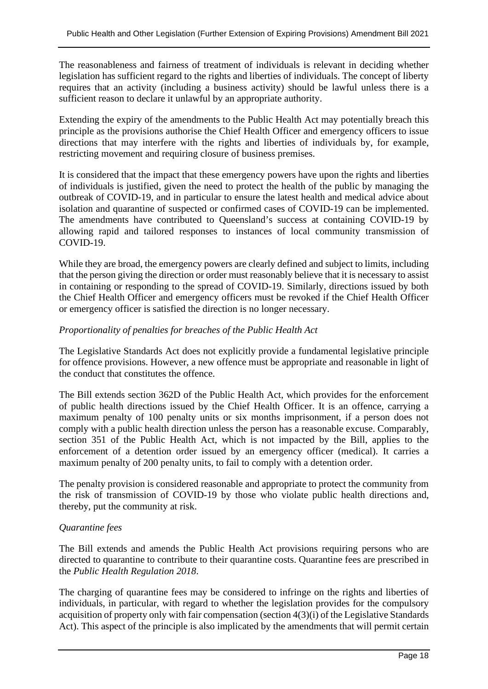The reasonableness and fairness of treatment of individuals is relevant in deciding whether legislation has sufficient regard to the rights and liberties of individuals. The concept of liberty requires that an activity (including a business activity) should be lawful unless there is a sufficient reason to declare it unlawful by an appropriate authority.

Extending the expiry of the amendments to the Public Health Act may potentially breach this principle as the provisions authorise the Chief Health Officer and emergency officers to issue directions that may interfere with the rights and liberties of individuals by, for example, restricting movement and requiring closure of business premises.

It is considered that the impact that these emergency powers have upon the rights and liberties of individuals is justified, given the need to protect the health of the public by managing the outbreak of COVID-19, and in particular to ensure the latest health and medical advice about isolation and quarantine of suspected or confirmed cases of COVID-19 can be implemented. The amendments have contributed to Queensland's success at containing COVID-19 by allowing rapid and tailored responses to instances of local community transmission of COVID-19.

While they are broad, the emergency powers are clearly defined and subject to limits, including that the person giving the direction or order must reasonably believe that it is necessary to assist in containing or responding to the spread of COVID-19. Similarly, directions issued by both the Chief Health Officer and emergency officers must be revoked if the Chief Health Officer or emergency officer is satisfied the direction is no longer necessary.

#### *Proportionality of penalties for breaches of the Public Health Act*

The Legislative Standards Act does not explicitly provide a fundamental legislative principle for offence provisions. However, a new offence must be appropriate and reasonable in light of the conduct that constitutes the offence.

The Bill extends section 362D of the Public Health Act, which provides for the enforcement of public health directions issued by the Chief Health Officer. It is an offence, carrying a maximum penalty of 100 penalty units or six months imprisonment, if a person does not comply with a public health direction unless the person has a reasonable excuse. Comparably, section 351 of the Public Health Act, which is not impacted by the Bill, applies to the enforcement of a detention order issued by an emergency officer (medical). It carries a maximum penalty of 200 penalty units, to fail to comply with a detention order.

The penalty provision is considered reasonable and appropriate to protect the community from the risk of transmission of COVID-19 by those who violate public health directions and, thereby, put the community at risk.

#### *Quarantine fees*

The Bill extends and amends the Public Health Act provisions requiring persons who are directed to quarantine to contribute to their quarantine costs. Quarantine fees are prescribed in the *Public Health Regulation 2018*.

The charging of quarantine fees may be considered to infringe on the rights and liberties of individuals, in particular, with regard to whether the legislation provides for the compulsory acquisition of property only with fair compensation (section 4(3)(i) of the Legislative Standards Act). This aspect of the principle is also implicated by the amendments that will permit certain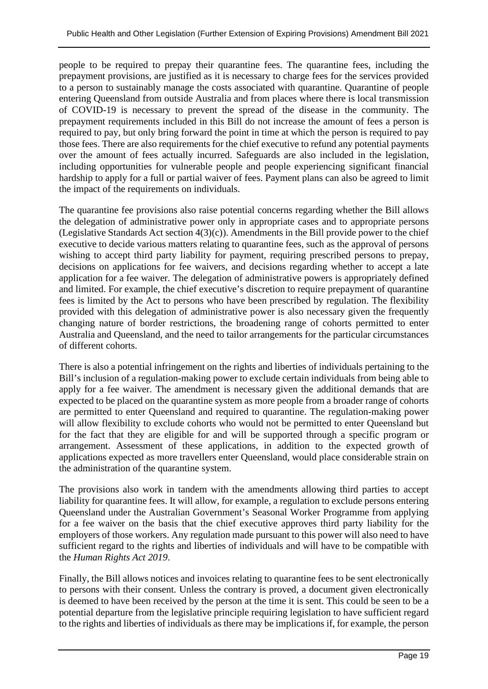people to be required to prepay their quarantine fees. The quarantine fees, including the prepayment provisions, are justified as it is necessary to charge fees for the services provided to a person to sustainably manage the costs associated with quarantine. Quarantine of people entering Queensland from outside Australia and from places where there is local transmission of COVID-19 is necessary to prevent the spread of the disease in the community. The prepayment requirements included in this Bill do not increase the amount of fees a person is required to pay, but only bring forward the point in time at which the person is required to pay those fees. There are also requirements for the chief executive to refund any potential payments over the amount of fees actually incurred. Safeguards are also included in the legislation, including opportunities for vulnerable people and people experiencing significant financial hardship to apply for a full or partial waiver of fees. Payment plans can also be agreed to limit the impact of the requirements on individuals.

The quarantine fee provisions also raise potential concerns regarding whether the Bill allows the delegation of administrative power only in appropriate cases and to appropriate persons (Legislative Standards Act section  $4(3)(c)$ ). Amendments in the Bill provide power to the chief executive to decide various matters relating to quarantine fees, such as the approval of persons wishing to accept third party liability for payment, requiring prescribed persons to prepay, decisions on applications for fee waivers, and decisions regarding whether to accept a late application for a fee waiver. The delegation of administrative powers is appropriately defined and limited. For example, the chief executive's discretion to require prepayment of quarantine fees is limited by the Act to persons who have been prescribed by regulation. The flexibility provided with this delegation of administrative power is also necessary given the frequently changing nature of border restrictions, the broadening range of cohorts permitted to enter Australia and Queensland, and the need to tailor arrangements for the particular circumstances of different cohorts.

There is also a potential infringement on the rights and liberties of individuals pertaining to the Bill's inclusion of a regulation-making power to exclude certain individuals from being able to apply for a fee waiver. The amendment is necessary given the additional demands that are expected to be placed on the quarantine system as more people from a broader range of cohorts are permitted to enter Queensland and required to quarantine. The regulation-making power will allow flexibility to exclude cohorts who would not be permitted to enter Queensland but for the fact that they are eligible for and will be supported through a specific program or arrangement. Assessment of these applications, in addition to the expected growth of applications expected as more travellers enter Queensland, would place considerable strain on the administration of the quarantine system.

The provisions also work in tandem with the amendments allowing third parties to accept liability for quarantine fees. It will allow, for example, a regulation to exclude persons entering Queensland under the Australian Government's Seasonal Worker Programme from applying for a fee waiver on the basis that the chief executive approves third party liability for the employers of those workers. Any regulation made pursuant to this power will also need to have sufficient regard to the rights and liberties of individuals and will have to be compatible with the *Human Rights Act 2019*.

Finally, the Bill allows notices and invoices relating to quarantine fees to be sent electronically to persons with their consent. Unless the contrary is proved, a document given electronically is deemed to have been received by the person at the time it is sent. This could be seen to be a potential departure from the legislative principle requiring legislation to have sufficient regard to the rights and liberties of individuals as there may be implications if, for example, the person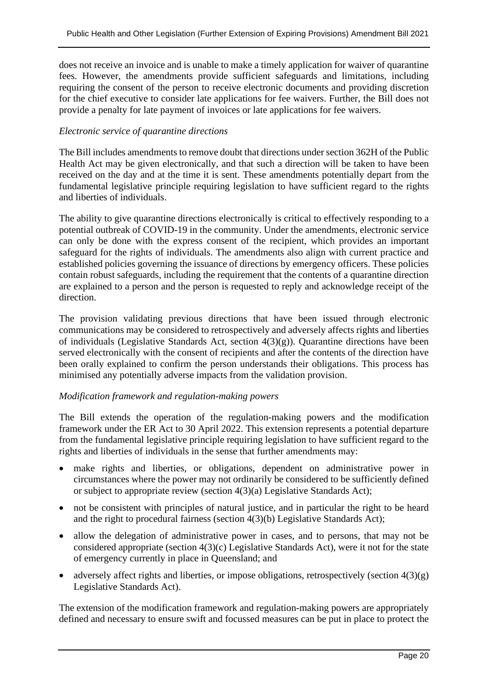does not receive an invoice and is unable to make a timely application for waiver of quarantine fees. However, the amendments provide sufficient safeguards and limitations, including requiring the consent of the person to receive electronic documents and providing discretion for the chief executive to consider late applications for fee waivers. Further, the Bill does not provide a penalty for late payment of invoices or late applications for fee waivers.

#### *Electronic service of quarantine directions*

The Bill includes amendments to remove doubt that directions under section 362H of the Public Health Act may be given electronically, and that such a direction will be taken to have been received on the day and at the time it is sent. These amendments potentially depart from the fundamental legislative principle requiring legislation to have sufficient regard to the rights and liberties of individuals.

The ability to give quarantine directions electronically is critical to effectively responding to a potential outbreak of COVID-19 in the community. Under the amendments, electronic service can only be done with the express consent of the recipient, which provides an important safeguard for the rights of individuals. The amendments also align with current practice and established policies governing the issuance of directions by emergency officers. These policies contain robust safeguards, including the requirement that the contents of a quarantine direction are explained to a person and the person is requested to reply and acknowledge receipt of the direction.

The provision validating previous directions that have been issued through electronic communications may be considered to retrospectively and adversely affects rights and liberties of individuals (Legislative Standards Act, section  $4(3)(g)$ ). Quarantine directions have been served electronically with the consent of recipients and after the contents of the direction have been orally explained to confirm the person understands their obligations. This process has minimised any potentially adverse impacts from the validation provision.

#### *Modification framework and regulation-making powers*

The Bill extends the operation of the regulation-making powers and the modification framework under the ER Act to 30 April 2022. This extension represents a potential departure from the fundamental legislative principle requiring legislation to have sufficient regard to the rights and liberties of individuals in the sense that further amendments may:

- make rights and liberties, or obligations, dependent on administrative power in circumstances where the power may not ordinarily be considered to be sufficiently defined or subject to appropriate review (section 4(3)(a) Legislative Standards Act);
- not be consistent with principles of natural justice, and in particular the right to be heard and the right to procedural fairness (section 4(3)(b) Legislative Standards Act);
- allow the delegation of administrative power in cases, and to persons, that may not be considered appropriate (section 4(3)(c) Legislative Standards Act), were it not for the state of emergency currently in place in Queensland; and
- adversely affect rights and liberties, or impose obligations, retrospectively (section  $4(3)(g)$ ) Legislative Standards Act).

The extension of the modification framework and regulation-making powers are appropriately defined and necessary to ensure swift and focussed measures can be put in place to protect the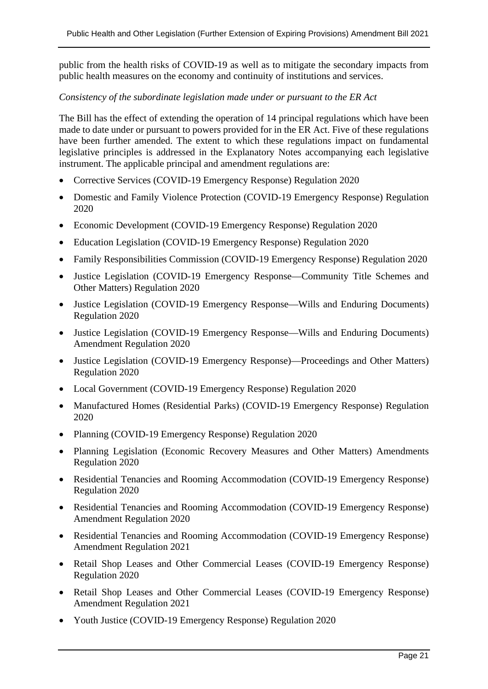public from the health risks of COVID-19 as well as to mitigate the secondary impacts from public health measures on the economy and continuity of institutions and services.

#### *Consistency of the subordinate legislation made under or pursuant to the ER Act*

The Bill has the effect of extending the operation of 14 principal regulations which have been made to date under or pursuant to powers provided for in the ER Act. Five of these regulations have been further amended. The extent to which these regulations impact on fundamental legislative principles is addressed in the Explanatory Notes accompanying each legislative instrument. The applicable principal and amendment regulations are:

- Corrective Services (COVID-19 Emergency Response) Regulation 2020
- Domestic and Family Violence Protection (COVID-19 Emergency Response) Regulation 2020
- Economic Development (COVID-19 Emergency Response) Regulation 2020
- Education Legislation (COVID-19 Emergency Response) Regulation 2020
- Family Responsibilities Commission (COVID-19 Emergency Response) Regulation 2020
- Justice Legislation (COVID-19 Emergency Response—Community Title Schemes and Other Matters) Regulation 2020
- Justice Legislation (COVID-19 Emergency Response—Wills and Enduring Documents) Regulation 2020
- Justice Legislation (COVID-19 Emergency Response—Wills and Enduring Documents) Amendment Regulation 2020
- Justice Legislation (COVID-19 Emergency Response)—Proceedings and Other Matters) Regulation 2020
- Local Government (COVID-19 Emergency Response) Regulation 2020
- Manufactured Homes (Residential Parks) (COVID-19 Emergency Response) Regulation 2020
- Planning (COVID-19 Emergency Response) Regulation 2020
- Planning Legislation (Economic Recovery Measures and Other Matters) Amendments Regulation 2020
- Residential Tenancies and Rooming Accommodation (COVID-19 Emergency Response) Regulation 2020
- Residential Tenancies and Rooming Accommodation (COVID-19 Emergency Response) Amendment Regulation 2020
- Residential Tenancies and Rooming Accommodation (COVID-19 Emergency Response) Amendment Regulation 2021
- Retail Shop Leases and Other Commercial Leases (COVID-19 Emergency Response) Regulation 2020
- Retail Shop Leases and Other Commercial Leases (COVID-19 Emergency Response) Amendment Regulation 2021
- Youth Justice (COVID-19 Emergency Response) Regulation 2020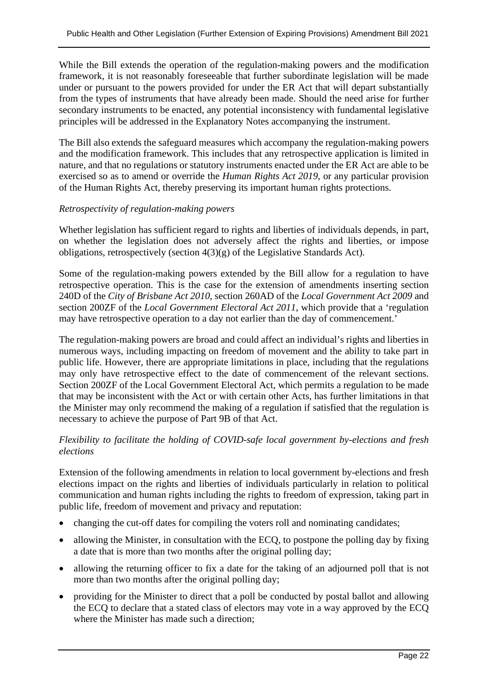While the Bill extends the operation of the regulation-making powers and the modification framework, it is not reasonably foreseeable that further subordinate legislation will be made under or pursuant to the powers provided for under the ER Act that will depart substantially from the types of instruments that have already been made. Should the need arise for further secondary instruments to be enacted, any potential inconsistency with fundamental legislative principles will be addressed in the Explanatory Notes accompanying the instrument.

The Bill also extends the safeguard measures which accompany the regulation-making powers and the modification framework. This includes that any retrospective application is limited in nature, and that no regulations or statutory instruments enacted under the ER Act are able to be exercised so as to amend or override the *Human Rights Act 2019*, or any particular provision of the Human Rights Act, thereby preserving its important human rights protections.

#### *Retrospectivity of regulation-making powers*

Whether legislation has sufficient regard to rights and liberties of individuals depends, in part, on whether the legislation does not adversely affect the rights and liberties, or impose obligations, retrospectively (section 4(3)(g) of the Legislative Standards Act).

Some of the regulation-making powers extended by the Bill allow for a regulation to have retrospective operation. This is the case for the extension of amendments inserting section 240D of the *City of Brisbane Act 2010*, section 260AD of the *Local Government Act 2009* and section 200ZF of the *Local Government Electoral Act 2011*, which provide that a 'regulation may have retrospective operation to a day not earlier than the day of commencement.'

The regulation-making powers are broad and could affect an individual's rights and liberties in numerous ways, including impacting on freedom of movement and the ability to take part in public life. However, there are appropriate limitations in place, including that the regulations may only have retrospective effect to the date of commencement of the relevant sections. Section 200ZF of the Local Government Electoral Act, which permits a regulation to be made that may be inconsistent with the Act or with certain other Acts, has further limitations in that the Minister may only recommend the making of a regulation if satisfied that the regulation is necessary to achieve the purpose of Part 9B of that Act.

#### *Flexibility to facilitate the holding of COVID-safe local government by-elections and fresh elections*

Extension of the following amendments in relation to local government by-elections and fresh elections impact on the rights and liberties of individuals particularly in relation to political communication and human rights including the rights to freedom of expression, taking part in public life, freedom of movement and privacy and reputation:

- changing the cut-off dates for compiling the voters roll and nominating candidates;
- allowing the Minister, in consultation with the ECQ, to postpone the polling day by fixing a date that is more than two months after the original polling day;
- allowing the returning officer to fix a date for the taking of an adjourned poll that is not more than two months after the original polling day;
- providing for the Minister to direct that a poll be conducted by postal ballot and allowing the ECQ to declare that a stated class of electors may vote in a way approved by the ECQ where the Minister has made such a direction;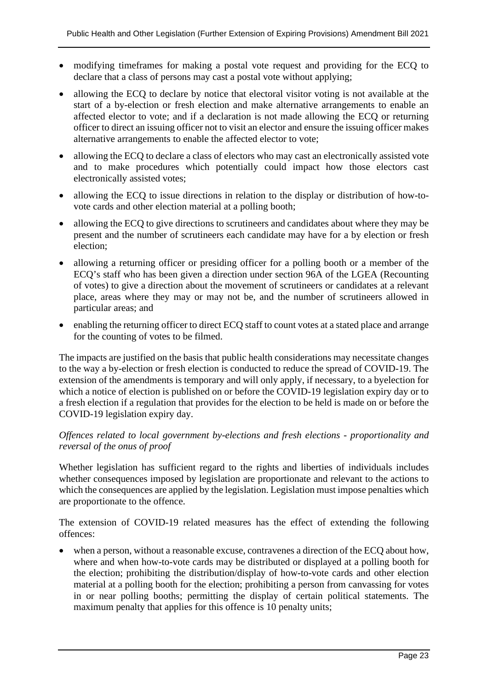- modifying timeframes for making a postal vote request and providing for the ECQ to declare that a class of persons may cast a postal vote without applying;
- allowing the ECQ to declare by notice that electoral visitor voting is not available at the start of a by-election or fresh election and make alternative arrangements to enable an affected elector to vote; and if a declaration is not made allowing the ECQ or returning officer to direct an issuing officer not to visit an elector and ensure the issuing officer makes alternative arrangements to enable the affected elector to vote;
- allowing the ECQ to declare a class of electors who may cast an electronically assisted vote and to make procedures which potentially could impact how those electors cast electronically assisted votes;
- allowing the ECQ to issue directions in relation to the display or distribution of how-tovote cards and other election material at a polling booth;
- allowing the ECQ to give directions to scrutineers and candidates about where they may be present and the number of scrutineers each candidate may have for a by election or fresh election;
- allowing a returning officer or presiding officer for a polling booth or a member of the ECQ's staff who has been given a direction under section 96A of the LGEA (Recounting of votes) to give a direction about the movement of scrutineers or candidates at a relevant place, areas where they may or may not be, and the number of scrutineers allowed in particular areas; and
- enabling the returning officer to direct ECQ staff to count votes at a stated place and arrange for the counting of votes to be filmed.

The impacts are justified on the basis that public health considerations may necessitate changes to the way a by-election or fresh election is conducted to reduce the spread of COVID-19. The extension of the amendments is temporary and will only apply, if necessary, to a byelection for which a notice of election is published on or before the COVID-19 legislation expiry day or to a fresh election if a regulation that provides for the election to be held is made on or before the COVID-19 legislation expiry day.

#### *Offences related to local government by-elections and fresh elections - proportionality and reversal of the onus of proof*

Whether legislation has sufficient regard to the rights and liberties of individuals includes whether consequences imposed by legislation are proportionate and relevant to the actions to which the consequences are applied by the legislation. Legislation must impose penalties which are proportionate to the offence.

The extension of COVID-19 related measures has the effect of extending the following offences:

when a person, without a reasonable excuse, contravenes a direction of the ECO about how, where and when how-to-vote cards may be distributed or displayed at a polling booth for the election; prohibiting the distribution/display of how-to-vote cards and other election material at a polling booth for the election; prohibiting a person from canvassing for votes in or near polling booths; permitting the display of certain political statements. The maximum penalty that applies for this offence is 10 penalty units;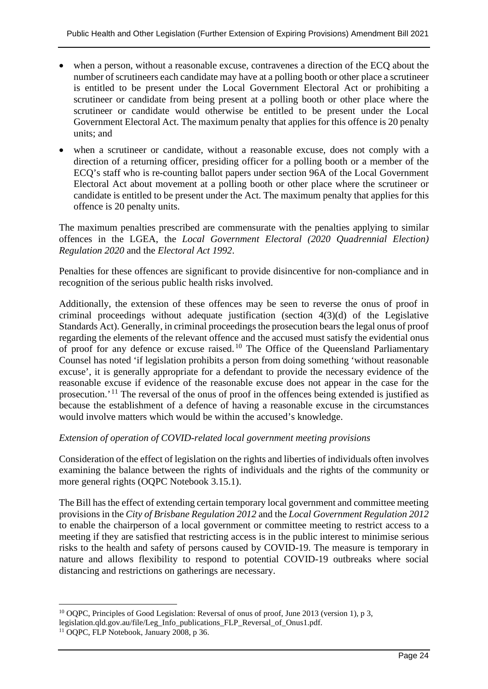- when a person, without a reasonable excuse, contravenes a direction of the ECQ about the number of scrutineers each candidate may have at a polling booth or other place a scrutineer is entitled to be present under the Local Government Electoral Act or prohibiting a scrutineer or candidate from being present at a polling booth or other place where the scrutineer or candidate would otherwise be entitled to be present under the Local Government Electoral Act. The maximum penalty that applies for this offence is 20 penalty units; and
- when a scrutineer or candidate, without a reasonable excuse, does not comply with a direction of a returning officer, presiding officer for a polling booth or a member of the ECQ's staff who is re-counting ballot papers under section 96A of the Local Government Electoral Act about movement at a polling booth or other place where the scrutineer or candidate is entitled to be present under the Act. The maximum penalty that applies for this offence is 20 penalty units.

The maximum penalties prescribed are commensurate with the penalties applying to similar offences in the LGEA, the *Local Government Electoral (2020 Quadrennial Election) Regulation 2020* and the *Electoral Act 1992*.

Penalties for these offences are significant to provide disincentive for non-compliance and in recognition of the serious public health risks involved.

Additionally, the extension of these offences may be seen to reverse the onus of proof in criminal proceedings without adequate justification (section 4(3)(d) of the Legislative Standards Act). Generally, in criminal proceedings the prosecution bears the legal onus of proof regarding the elements of the relevant offence and the accused must satisfy the evidential onus of proof for any defence or excuse raised.<sup>[10](#page-23-0)</sup> The Office of the Queensland Parliamentary Counsel has noted 'if legislation prohibits a person from doing something 'without reasonable excuse', it is generally appropriate for a defendant to provide the necessary evidence of the reasonable excuse if evidence of the reasonable excuse does not appear in the case for the prosecution.' [11](#page-23-1) The reversal of the onus of proof in the offences being extended is justified as because the establishment of a defence of having a reasonable excuse in the circumstances would involve matters which would be within the accused's knowledge.

#### *Extension of operation of COVID-related local government meeting provisions*

Consideration of the effect of legislation on the rights and liberties of individuals often involves examining the balance between the rights of individuals and the rights of the community or more general rights (OQPC Notebook 3.15.1).

The Bill has the effect of extending certain temporary local government and committee meeting provisions in the *City of Brisbane Regulation 2012* and the *Local Government Regulation 2012* to enable the chairperson of a local government or committee meeting to restrict access to a meeting if they are satisfied that restricting access is in the public interest to minimise serious risks to the health and safety of persons caused by COVID-19. The measure is temporary in nature and allows flexibility to respond to potential COVID-19 outbreaks where social distancing and restrictions on gatherings are necessary.

<span id="page-23-0"></span><sup>&</sup>lt;sup>10</sup> OQPC, Principles of Good Legislation: Reversal of onus of proof, June 2013 (version 1), p 3,

legislation.qld.gov.au/file/Leg\_Info\_publications\_FLP\_Reversal\_of\_Onus1.pdf.

<span id="page-23-1"></span><sup>&</sup>lt;sup>11</sup> OQPC, FLP Notebook, January 2008, p 36.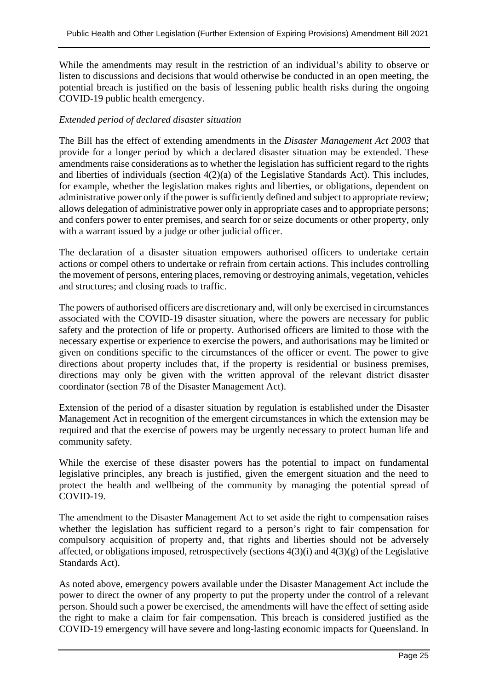While the amendments may result in the restriction of an individual's ability to observe or listen to discussions and decisions that would otherwise be conducted in an open meeting, the potential breach is justified on the basis of lessening public health risks during the ongoing COVID-19 public health emergency.

#### *Extended period of declared disaster situation*

The Bill has the effect of extending amendments in the *Disaster Management Act 2003* that provide for a longer period by which a declared disaster situation may be extended. These amendments raise considerations as to whether the legislation has sufficient regard to the rights and liberties of individuals (section 4(2)(a) of the Legislative Standards Act). This includes, for example, whether the legislation makes rights and liberties, or obligations, dependent on administrative power only if the power is sufficiently defined and subject to appropriate review; allows delegation of administrative power only in appropriate cases and to appropriate persons; and confers power to enter premises, and search for or seize documents or other property, only with a warrant issued by a judge or other judicial officer.

The declaration of a disaster situation empowers authorised officers to undertake certain actions or compel others to undertake or refrain from certain actions. This includes controlling the movement of persons, entering places, removing or destroying animals, vegetation, vehicles and structures; and closing roads to traffic.

The powers of authorised officers are discretionary and, will only be exercised in circumstances associated with the COVID-19 disaster situation, where the powers are necessary for public safety and the protection of life or property. Authorised officers are limited to those with the necessary expertise or experience to exercise the powers, and authorisations may be limited or given on conditions specific to the circumstances of the officer or event. The power to give directions about property includes that, if the property is residential or business premises, directions may only be given with the written approval of the relevant district disaster coordinator (section 78 of the Disaster Management Act).

Extension of the period of a disaster situation by regulation is established under the Disaster Management Act in recognition of the emergent circumstances in which the extension may be required and that the exercise of powers may be urgently necessary to protect human life and community safety.

While the exercise of these disaster powers has the potential to impact on fundamental legislative principles, any breach is justified, given the emergent situation and the need to protect the health and wellbeing of the community by managing the potential spread of COVID-19.

The amendment to the Disaster Management Act to set aside the right to compensation raises whether the legislation has sufficient regard to a person's right to fair compensation for compulsory acquisition of property and, that rights and liberties should not be adversely affected, or obligations imposed, retrospectively (sections  $4(3)(i)$  and  $4(3)(g)$  of the Legislative Standards Act).

As noted above, emergency powers available under the Disaster Management Act include the power to direct the owner of any property to put the property under the control of a relevant person. Should such a power be exercised, the amendments will have the effect of setting aside the right to make a claim for fair compensation. This breach is considered justified as the COVID-19 emergency will have severe and long-lasting economic impacts for Queensland. In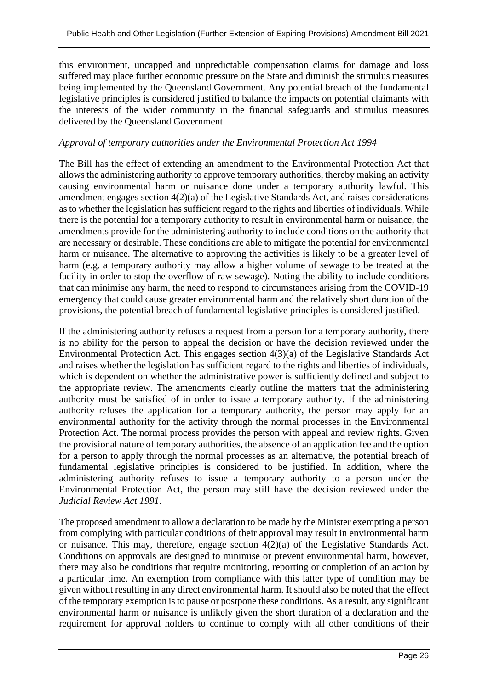this environment, uncapped and unpredictable compensation claims for damage and loss suffered may place further economic pressure on the State and diminish the stimulus measures being implemented by the Queensland Government. Any potential breach of the fundamental legislative principles is considered justified to balance the impacts on potential claimants with the interests of the wider community in the financial safeguards and stimulus measures delivered by the Queensland Government.

#### *Approval of temporary authorities under the Environmental Protection Act 1994*

The Bill has the effect of extending an amendment to the Environmental Protection Act that allows the administering authority to approve temporary authorities, thereby making an activity causing environmental harm or nuisance done under a temporary authority lawful. This amendment engages section 4(2)(a) of the Legislative Standards Act, and raises considerations as to whether the legislation has sufficient regard to the rights and liberties of individuals. While there is the potential for a temporary authority to result in environmental harm or nuisance, the amendments provide for the administering authority to include conditions on the authority that are necessary or desirable. These conditions are able to mitigate the potential for environmental harm or nuisance. The alternative to approving the activities is likely to be a greater level of harm (e.g. a temporary authority may allow a higher volume of sewage to be treated at the facility in order to stop the overflow of raw sewage). Noting the ability to include conditions that can minimise any harm, the need to respond to circumstances arising from the COVID-19 emergency that could cause greater environmental harm and the relatively short duration of the provisions, the potential breach of fundamental legislative principles is considered justified.

If the administering authority refuses a request from a person for a temporary authority, there is no ability for the person to appeal the decision or have the decision reviewed under the Environmental Protection Act. This engages section 4(3)(a) of the Legislative Standards Act and raises whether the legislation has sufficient regard to the rights and liberties of individuals, which is dependent on whether the administrative power is sufficiently defined and subject to the appropriate review. The amendments clearly outline the matters that the administering authority must be satisfied of in order to issue a temporary authority. If the administering authority refuses the application for a temporary authority, the person may apply for an environmental authority for the activity through the normal processes in the Environmental Protection Act. The normal process provides the person with appeal and review rights. Given the provisional nature of temporary authorities, the absence of an application fee and the option for a person to apply through the normal processes as an alternative, the potential breach of fundamental legislative principles is considered to be justified. In addition, where the administering authority refuses to issue a temporary authority to a person under the Environmental Protection Act, the person may still have the decision reviewed under the *Judicial Review Act 1991*.

The proposed amendment to allow a declaration to be made by the Minister exempting a person from complying with particular conditions of their approval may result in environmental harm or nuisance. This may, therefore, engage section 4(2)(a) of the Legislative Standards Act. Conditions on approvals are designed to minimise or prevent environmental harm, however, there may also be conditions that require monitoring, reporting or completion of an action by a particular time. An exemption from compliance with this latter type of condition may be given without resulting in any direct environmental harm. It should also be noted that the effect of the temporary exemption is to pause or postpone these conditions. As a result, any significant environmental harm or nuisance is unlikely given the short duration of a declaration and the requirement for approval holders to continue to comply with all other conditions of their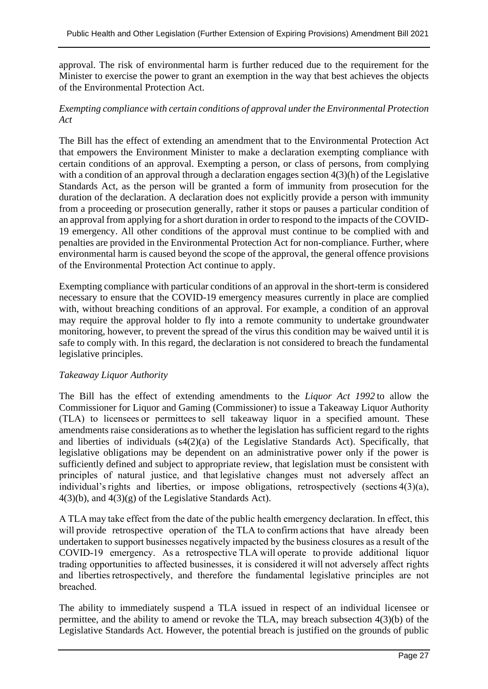approval. The risk of environmental harm is further reduced due to the requirement for the Minister to exercise the power to grant an exemption in the way that best achieves the objects of the Environmental Protection Act.

#### *Exempting compliance with certain conditions of approval under the Environmental Protection Act*

The Bill has the effect of extending an amendment that to the Environmental Protection Act that empowers the Environment Minister to make a declaration exempting compliance with certain conditions of an approval. Exempting a person, or class of persons, from complying with a condition of an approval through a declaration engages section  $4(3)(h)$  of the Legislative Standards Act, as the person will be granted a form of immunity from prosecution for the duration of the declaration. A declaration does not explicitly provide a person with immunity from a proceeding or prosecution generally, rather it stops or pauses a particular condition of an approval from applying for a short duration in order to respond to the impacts of the COVID-19 emergency. All other conditions of the approval must continue to be complied with and penalties are provided in the Environmental Protection Act for non-compliance. Further, where environmental harm is caused beyond the scope of the approval, the general offence provisions of the Environmental Protection Act continue to apply.

Exempting compliance with particular conditions of an approval in the short-term is considered necessary to ensure that the COVID-19 emergency measures currently in place are complied with, without breaching conditions of an approval. For example, a condition of an approval may require the approval holder to fly into a remote community to undertake groundwater monitoring, however, to prevent the spread of the virus this condition may be waived until it is safe to comply with. In this regard, the declaration is not considered to breach the fundamental legislative principles.

#### *Takeaway Liquor Authority*

The Bill has the effect of extending amendments to the *Liquor Act 1992* to allow the Commissioner for Liquor and Gaming (Commissioner) to issue a Takeaway Liquor Authority (TLA) to licensees or permittees to sell takeaway liquor in a specified amount. These amendments raise considerations as to whether the legislation has sufficient regard to the rights and liberties of individuals (s4(2)(a) of the Legislative Standards Act). Specifically, that legislative obligations may be dependent on an administrative power only if the power is sufficiently defined and subject to appropriate review, that legislation must be consistent with principles of natural justice,  and that legislative changes must not adversely affect an individual's rights and liberties, or impose obligations, retrospectively (sections 4(3)(a),  $4(3)(b)$ , and  $4(3)(g)$  of the Legislative Standards Act).

A TLA may take effect from the date of the public health emergency declaration. In effect, this will provide retrospective operation of the TLA to confirm actions that have already been undertaken to support businesses negatively impacted by the business closures as a result of the COVID-19 emergency. As a retrospective TLA will operate to provide additional liquor trading opportunities to affected businesses, it is considered it will not adversely affect rights and liberties retrospectively, and therefore the fundamental legislative principles are not breached. 

The ability to immediately suspend a TLA issued in respect of an individual licensee or permittee, and the ability to amend or revoke the TLA, may breach subsection 4(3)(b) of the Legislative Standards Act. However, the potential breach is justified on the grounds of public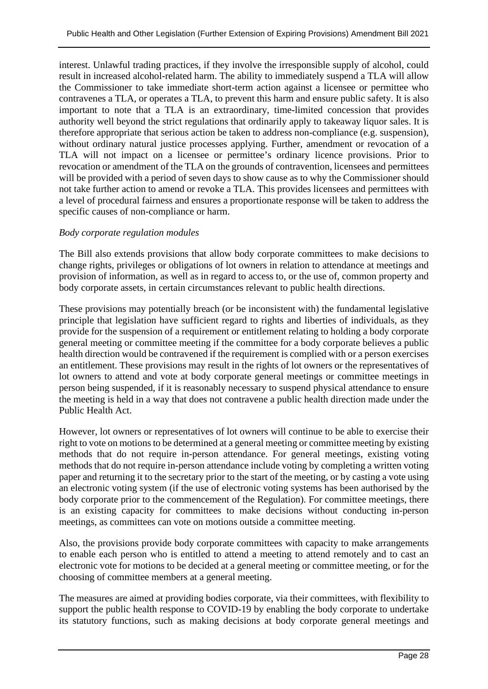interest. Unlawful trading practices, if they involve the irresponsible supply of alcohol, could result in increased alcohol-related harm. The ability to immediately suspend a TLA will allow the Commissioner to take immediate short-term action against a licensee or permittee who contravenes a TLA, or operates a TLA, to prevent this harm and ensure public safety. It is also important to note that a TLA is an extraordinary, time-limited concession that provides authority well beyond the strict regulations that ordinarily apply to takeaway liquor sales. It is therefore appropriate that serious action be taken to address non-compliance (e.g. suspension), without ordinary natural justice processes applying. Further, amendment or revocation of a TLA will not impact on a licensee or permittee's ordinary licence provisions. Prior to revocation or amendment of the TLA on the grounds of contravention, licensees and permittees will be provided with a period of seven days to show cause as to why the Commissioner should not take further action to amend or revoke a TLA. This provides licensees and permittees with a level of procedural fairness and ensures a proportionate response will be taken to address the specific causes of non-compliance or harm.

#### *Body corporate regulation modules*

The Bill also extends provisions that allow body corporate committees to make decisions to change rights, privileges or obligations of lot owners in relation to attendance at meetings and provision of information, as well as in regard to access to, or the use of, common property and body corporate assets, in certain circumstances relevant to public health directions.

These provisions may potentially breach (or be inconsistent with) the fundamental legislative principle that legislation have sufficient regard to rights and liberties of individuals, as they provide for the suspension of a requirement or entitlement relating to holding a body corporate general meeting or committee meeting if the committee for a body corporate believes a public health direction would be contravened if the requirement is complied with or a person exercises an entitlement. These provisions may result in the rights of lot owners or the representatives of lot owners to attend and vote at body corporate general meetings or committee meetings in person being suspended, if it is reasonably necessary to suspend physical attendance to ensure the meeting is held in a way that does not contravene a public health direction made under the Public Health Act.

However, lot owners or representatives of lot owners will continue to be able to exercise their right to vote on motions to be determined at a general meeting or committee meeting by existing methods that do not require in-person attendance. For general meetings, existing voting methods that do not require in-person attendance include voting by completing a written voting paper and returning it to the secretary prior to the start of the meeting, or by casting a vote using an electronic voting system (if the use of electronic voting systems has been authorised by the body corporate prior to the commencement of the Regulation). For committee meetings, there is an existing capacity for committees to make decisions without conducting in-person meetings, as committees can vote on motions outside a committee meeting.

Also, the provisions provide body corporate committees with capacity to make arrangements to enable each person who is entitled to attend a meeting to attend remotely and to cast an electronic vote for motions to be decided at a general meeting or committee meeting, or for the choosing of committee members at a general meeting.

The measures are aimed at providing bodies corporate, via their committees, with flexibility to support the public health response to COVID-19 by enabling the body corporate to undertake its statutory functions, such as making decisions at body corporate general meetings and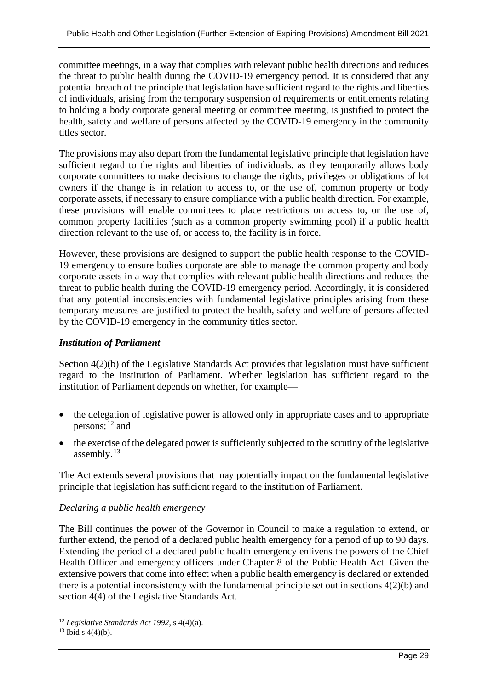committee meetings, in a way that complies with relevant public health directions and reduces the threat to public health during the COVID-19 emergency period. It is considered that any potential breach of the principle that legislation have sufficient regard to the rights and liberties of individuals, arising from the temporary suspension of requirements or entitlements relating to holding a body corporate general meeting or committee meeting, is justified to protect the health, safety and welfare of persons affected by the COVID-19 emergency in the community titles sector.

The provisions may also depart from the fundamental legislative principle that legislation have sufficient regard to the rights and liberties of individuals, as they temporarily allows body corporate committees to make decisions to change the rights, privileges or obligations of lot owners if the change is in relation to access to, or the use of, common property or body corporate assets, if necessary to ensure compliance with a public health direction. For example, these provisions will enable committees to place restrictions on access to, or the use of, common property facilities (such as a common property swimming pool) if a public health direction relevant to the use of, or access to, the facility is in force.

However, these provisions are designed to support the public health response to the COVID-19 emergency to ensure bodies corporate are able to manage the common property and body corporate assets in a way that complies with relevant public health directions and reduces the threat to public health during the COVID-19 emergency period. Accordingly, it is considered that any potential inconsistencies with fundamental legislative principles arising from these temporary measures are justified to protect the health, safety and welfare of persons affected by the COVID-19 emergency in the community titles sector.

#### *Institution of Parliament*

Section 4(2)(b) of the Legislative Standards Act provides that legislation must have sufficient regard to the institution of Parliament. Whether legislation has sufficient regard to the institution of Parliament depends on whether, for example—

- the delegation of legislative power is allowed only in appropriate cases and to appropriate persons; [12](#page-28-0) and
- the exercise of the delegated power is sufficiently subjected to the scrutiny of the legislative assembly.<sup>[13](#page-28-1)</sup>

The Act extends several provisions that may potentially impact on the fundamental legislative principle that legislation has sufficient regard to the institution of Parliament.

#### *Declaring a public health emergency*

The Bill continues the power of the Governor in Council to make a regulation to extend, or further extend, the period of a declared public health emergency for a period of up to 90 days. Extending the period of a declared public health emergency enlivens the powers of the Chief Health Officer and emergency officers under Chapter 8 of the Public Health Act. Given the extensive powers that come into effect when a public health emergency is declared or extended there is a potential inconsistency with the fundamental principle set out in sections 4(2)(b) and section 4(4) of the Legislative Standards Act.

<span id="page-28-0"></span><sup>12</sup> *Legislative Standards Act 1992*, s 4(4)(a).

<span id="page-28-1"></span> $13$  Ibid s 4(4)(b).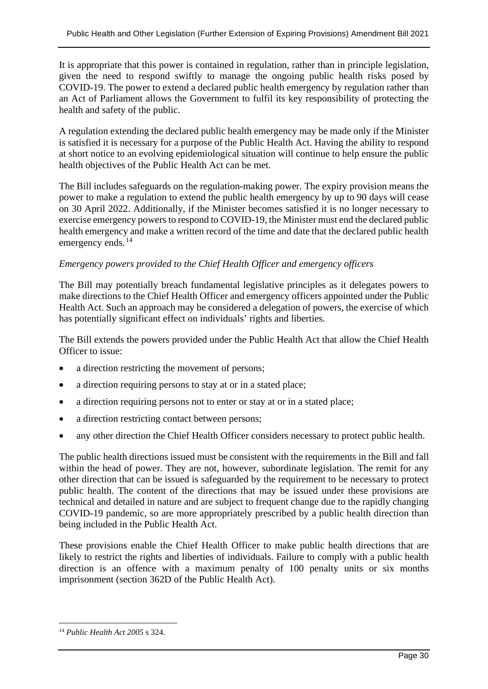It is appropriate that this power is contained in regulation, rather than in principle legislation, given the need to respond swiftly to manage the ongoing public health risks posed by COVID-19. The power to extend a declared public health emergency by regulation rather than an Act of Parliament allows the Government to fulfil its key responsibility of protecting the health and safety of the public.

A regulation extending the declared public health emergency may be made only if the Minister is satisfied it is necessary for a purpose of the Public Health Act. Having the ability to respond at short notice to an evolving epidemiological situation will continue to help ensure the public health objectives of the Public Health Act can be met.

The Bill includes safeguards on the regulation-making power. The expiry provision means the power to make a regulation to extend the public health emergency by up to 90 days will cease on 30 April 2022. Additionally, if the Minister becomes satisfied it is no longer necessary to exercise emergency powers to respond to COVID-19, the Minister must end the declared public health emergency and make a written record of the time and date that the declared public health emergency ends.<sup>[14](#page-29-0)</sup>

#### *Emergency powers provided to the Chief Health Officer and emergency officers*

The Bill may potentially breach fundamental legislative principles as it delegates powers to make directions to the Chief Health Officer and emergency officers appointed under the Public Health Act. Such an approach may be considered a delegation of powers, the exercise of which has potentially significant effect on individuals' rights and liberties.

The Bill extends the powers provided under the Public Health Act that allow the Chief Health Officer to issue:

- a direction restricting the movement of persons;
- a direction requiring persons to stay at or in a stated place;
- a direction requiring persons not to enter or stay at or in a stated place;
- a direction restricting contact between persons;
- any other direction the Chief Health Officer considers necessary to protect public health.

The public health directions issued must be consistent with the requirements in the Bill and fall within the head of power. They are not, however, subordinate legislation. The remit for any other direction that can be issued is safeguarded by the requirement to be necessary to protect public health. The content of the directions that may be issued under these provisions are technical and detailed in nature and are subject to frequent change due to the rapidly changing COVID-19 pandemic, so are more appropriately prescribed by a public health direction than being included in the Public Health Act.

These provisions enable the Chief Health Officer to make public health directions that are likely to restrict the rights and liberties of individuals. Failure to comply with a public health direction is an offence with a maximum penalty of 100 penalty units or six months imprisonment (section 362D of the Public Health Act).

<span id="page-29-0"></span><sup>14</sup> *Public Health Act 2005* s 324.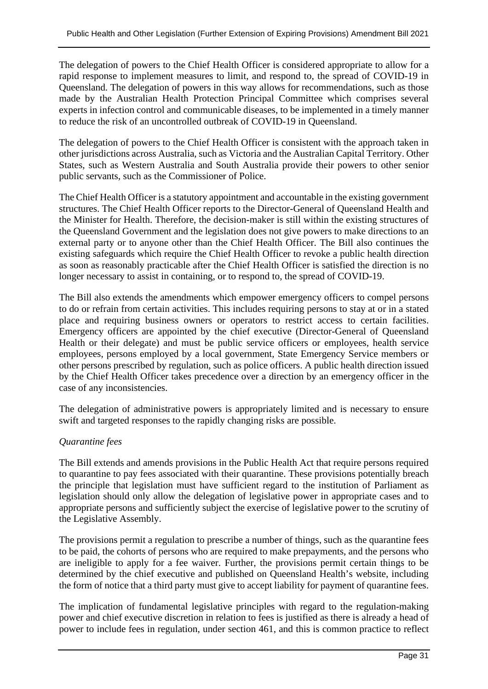The delegation of powers to the Chief Health Officer is considered appropriate to allow for a rapid response to implement measures to limit, and respond to, the spread of COVID-19 in Queensland. The delegation of powers in this way allows for recommendations, such as those made by the Australian Health Protection Principal Committee which comprises several experts in infection control and communicable diseases, to be implemented in a timely manner to reduce the risk of an uncontrolled outbreak of COVID-19 in Queensland.

The delegation of powers to the Chief Health Officer is consistent with the approach taken in other jurisdictions across Australia, such as Victoria and the Australian Capital Territory. Other States, such as Western Australia and South Australia provide their powers to other senior public servants, such as the Commissioner of Police.

The Chief Health Officer is a statutory appointment and accountable in the existing government structures. The Chief Health Officer reports to the Director-General of Queensland Health and the Minister for Health. Therefore, the decision-maker is still within the existing structures of the Queensland Government and the legislation does not give powers to make directions to an external party or to anyone other than the Chief Health Officer. The Bill also continues the existing safeguards which require the Chief Health Officer to revoke a public health direction as soon as reasonably practicable after the Chief Health Officer is satisfied the direction is no longer necessary to assist in containing, or to respond to, the spread of COVID-19.

The Bill also extends the amendments which empower emergency officers to compel persons to do or refrain from certain activities. This includes requiring persons to stay at or in a stated place and requiring business owners or operators to restrict access to certain facilities. Emergency officers are appointed by the chief executive (Director-General of Queensland Health or their delegate) and must be public service officers or employees, health service employees, persons employed by a local government, State Emergency Service members or other persons prescribed by regulation, such as police officers. A public health direction issued by the Chief Health Officer takes precedence over a direction by an emergency officer in the case of any inconsistencies.

The delegation of administrative powers is appropriately limited and is necessary to ensure swift and targeted responses to the rapidly changing risks are possible.

#### *Quarantine fees*

The Bill extends and amends provisions in the Public Health Act that require persons required to quarantine to pay fees associated with their quarantine. These provisions potentially breach the principle that legislation must have sufficient regard to the institution of Parliament as legislation should only allow the delegation of legislative power in appropriate cases and to appropriate persons and sufficiently subject the exercise of legislative power to the scrutiny of the Legislative Assembly.

The provisions permit a regulation to prescribe a number of things, such as the quarantine fees to be paid, the cohorts of persons who are required to make prepayments, and the persons who are ineligible to apply for a fee waiver. Further, the provisions permit certain things to be determined by the chief executive and published on Queensland Health's website, including the form of notice that a third party must give to accept liability for payment of quarantine fees.

The implication of fundamental legislative principles with regard to the regulation-making power and chief executive discretion in relation to fees is justified as there is already a head of power to include fees in regulation, under section 461, and this is common practice to reflect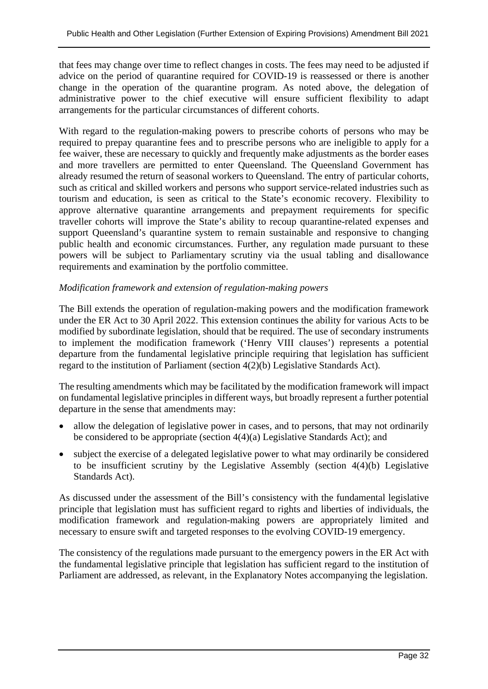that fees may change over time to reflect changes in costs. The fees may need to be adjusted if advice on the period of quarantine required for COVID-19 is reassessed or there is another change in the operation of the quarantine program. As noted above, the delegation of administrative power to the chief executive will ensure sufficient flexibility to adapt arrangements for the particular circumstances of different cohorts.

With regard to the regulation-making powers to prescribe cohorts of persons who may be required to prepay quarantine fees and to prescribe persons who are ineligible to apply for a fee waiver, these are necessary to quickly and frequently make adjustments as the border eases and more travellers are permitted to enter Queensland. The Queensland Government has already resumed the return of seasonal workers to Queensland. The entry of particular cohorts, such as critical and skilled workers and persons who support service-related industries such as tourism and education, is seen as critical to the State's economic recovery. Flexibility to approve alternative quarantine arrangements and prepayment requirements for specific traveller cohorts will improve the State's ability to recoup quarantine-related expenses and support Queensland's quarantine system to remain sustainable and responsive to changing public health and economic circumstances. Further, any regulation made pursuant to these powers will be subject to Parliamentary scrutiny via the usual tabling and disallowance requirements and examination by the portfolio committee.

#### *Modification framework and extension of regulation-making powers*

The Bill extends the operation of regulation-making powers and the modification framework under the ER Act to 30 April 2022. This extension continues the ability for various Acts to be modified by subordinate legislation, should that be required. The use of secondary instruments to implement the modification framework ('Henry VIII clauses') represents a potential departure from the fundamental legislative principle requiring that legislation has sufficient regard to the institution of Parliament (section 4(2)(b) Legislative Standards Act).

The resulting amendments which may be facilitated by the modification framework will impact on fundamental legislative principles in different ways, but broadly represent a further potential departure in the sense that amendments may:

- allow the delegation of legislative power in cases, and to persons, that may not ordinarily be considered to be appropriate (section 4(4)(a) Legislative Standards Act); and
- subject the exercise of a delegated legislative power to what may ordinarily be considered to be insufficient scrutiny by the Legislative Assembly (section 4(4)(b) Legislative Standards Act).

As discussed under the assessment of the Bill's consistency with the fundamental legislative principle that legislation must has sufficient regard to rights and liberties of individuals, the modification framework and regulation-making powers are appropriately limited and necessary to ensure swift and targeted responses to the evolving COVID-19 emergency.

The consistency of the regulations made pursuant to the emergency powers in the ER Act with the fundamental legislative principle that legislation has sufficient regard to the institution of Parliament are addressed, as relevant, in the Explanatory Notes accompanying the legislation.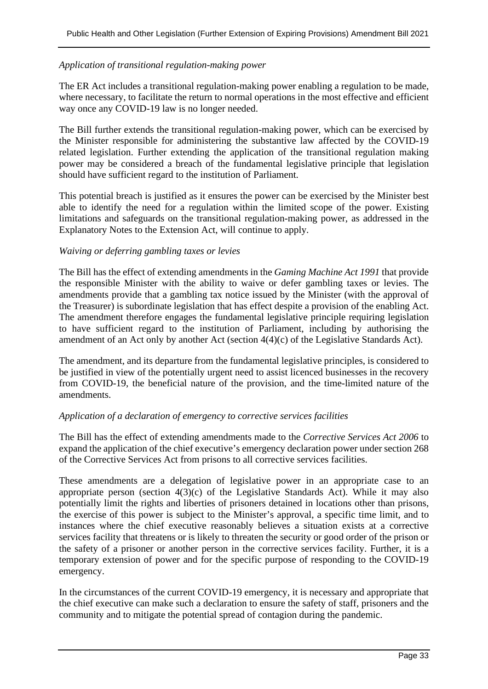#### *Application of transitional regulation-making power*

The ER Act includes a transitional regulation-making power enabling a regulation to be made, where necessary, to facilitate the return to normal operations in the most effective and efficient way once any COVID-19 law is no longer needed.

The Bill further extends the transitional regulation-making power, which can be exercised by the Minister responsible for administering the substantive law affected by the COVID-19 related legislation. Further extending the application of the transitional regulation making power may be considered a breach of the fundamental legislative principle that legislation should have sufficient regard to the institution of Parliament.

This potential breach is justified as it ensures the power can be exercised by the Minister best able to identify the need for a regulation within the limited scope of the power. Existing limitations and safeguards on the transitional regulation-making power, as addressed in the Explanatory Notes to the Extension Act, will continue to apply.

#### *Waiving or deferring gambling taxes or levies*

The Bill has the effect of extending amendments in the *Gaming Machine Act 1991* that provide the responsible Minister with the ability to waive or defer gambling taxes or levies. The amendments provide that a gambling tax notice issued by the Minister (with the approval of the Treasurer) is subordinate legislation that has effect despite a provision of the enabling Act. The amendment therefore engages the fundamental legislative principle requiring legislation to have sufficient regard to the institution of Parliament, including by authorising the amendment of an Act only by another Act (section 4(4)(c) of the Legislative Standards Act).

The amendment, and its departure from the fundamental legislative principles, is considered to be justified in view of the potentially urgent need to assist licenced businesses in the recovery from COVID-19, the beneficial nature of the provision, and the time-limited nature of the amendments.

#### *Application of a declaration of emergency to corrective services facilities*

The Bill has the effect of extending amendments made to the *Corrective Services Act 2006* to expand the application of the chief executive's emergency declaration power under section 268 of the Corrective Services Act from prisons to all corrective services facilities.

These amendments are a delegation of legislative power in an appropriate case to an appropriate person (section  $4(3)(c)$  of the Legislative Standards Act). While it may also potentially limit the rights and liberties of prisoners detained in locations other than prisons, the exercise of this power is subject to the Minister's approval, a specific time limit, and to instances where the chief executive reasonably believes a situation exists at a corrective services facility that threatens or is likely to threaten the security or good order of the prison or the safety of a prisoner or another person in the corrective services facility. Further, it is a temporary extension of power and for the specific purpose of responding to the COVID-19 emergency.

In the circumstances of the current COVID-19 emergency, it is necessary and appropriate that the chief executive can make such a declaration to ensure the safety of staff, prisoners and the community and to mitigate the potential spread of contagion during the pandemic.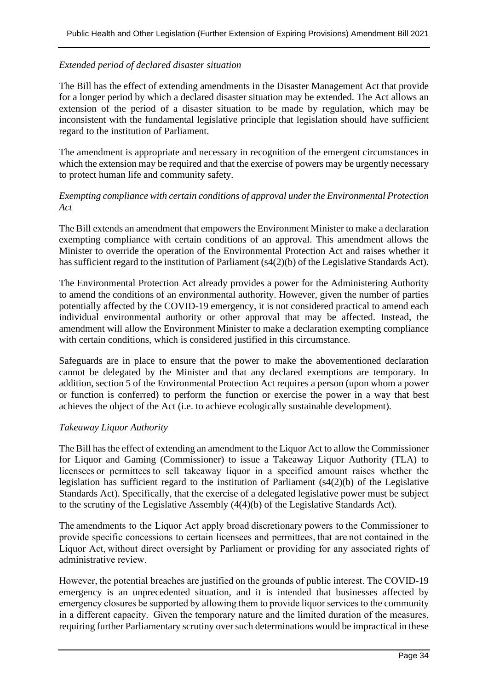#### *Extended period of declared disaster situation*

The Bill has the effect of extending amendments in the Disaster Management Act that provide for a longer period by which a declared disaster situation may be extended. The Act allows an extension of the period of a disaster situation to be made by regulation, which may be inconsistent with the fundamental legislative principle that legislation should have sufficient regard to the institution of Parliament.

The amendment is appropriate and necessary in recognition of the emergent circumstances in which the extension may be required and that the exercise of powers may be urgently necessary to protect human life and community safety.

#### *Exempting compliance with certain conditions of approval under the Environmental Protection Act*

The Bill extends an amendment that empowers the Environment Minister to make a declaration exempting compliance with certain conditions of an approval. This amendment allows the Minister to override the operation of the Environmental Protection Act and raises whether it has sufficient regard to the institution of Parliament (s4(2)(b) of the Legislative Standards Act).

The Environmental Protection Act already provides a power for the Administering Authority to amend the conditions of an environmental authority. However, given the number of parties potentially affected by the COVID-19 emergency, it is not considered practical to amend each individual environmental authority or other approval that may be affected. Instead, the amendment will allow the Environment Minister to make a declaration exempting compliance with certain conditions, which is considered justified in this circumstance.

Safeguards are in place to ensure that the power to make the abovementioned declaration cannot be delegated by the Minister and that any declared exemptions are temporary. In addition, section 5 of the Environmental Protection Act requires a person (upon whom a power or function is conferred) to perform the function or exercise the power in a way that best achieves the object of the Act (i.e. to achieve ecologically sustainable development).

#### *Takeaway Liquor Authority*

The Bill has the effect of extending an amendment to the Liquor Act to allow the Commissioner for Liquor and Gaming (Commissioner) to issue a Takeaway Liquor Authority (TLA) to licensees or permittees to sell takeaway liquor in a specified amount raises whether the legislation has sufficient regard to the institution of Parliament (s4(2)(b) of the Legislative Standards Act). Specifically, that the exercise of a delegated legislative power must be subject to the scrutiny of the Legislative Assembly (4(4)(b) of the Legislative Standards Act).

The amendments to the Liquor Act apply broad discretionary powers to the Commissioner to provide specific concessions to certain licensees and permittees, that are not contained in the Liquor Act, without direct oversight by Parliament or providing for any associated rights of administrative review.  

However, the potential breaches are justified on the grounds of public interest. The COVID-19 emergency is an unprecedented situation, and it is intended that businesses affected by emergency closures be supported by allowing them to provide liquor services to the community in a different capacity.  Given the temporary nature and the limited duration of the measures, requiring further Parliamentary scrutiny over such determinations would be impractical in these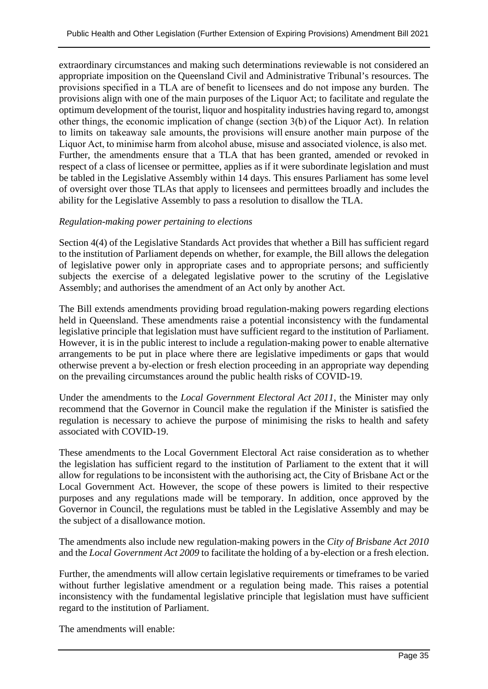extraordinary circumstances and making such determinations reviewable is not considered an appropriate imposition on the Queensland Civil and Administrative Tribunal's resources. The provisions specified in a TLA are of benefit to licensees and do not impose any burden.  The provisions align with one of the main purposes of the Liquor Act; to facilitate and regulate the optimum development of the tourist, liquor and hospitality industries having regard to, amongst other things, the economic implication of change (section 3(b) of the Liquor Act).  In relation to limits on takeaway sale amounts, the provisions will ensure another main purpose of the Liquor Act, to minimise harm from alcohol abuse, misuse and associated violence, is also met. Further, the amendments ensure that a TLA that has been granted, amended or revoked in respect of a class of licensee or permittee, applies as if it were subordinate legislation and must be tabled in the Legislative Assembly within 14 days. This ensures Parliament has some level of oversight over those TLAs that apply to licensees and permittees broadly and includes the ability for the Legislative Assembly to pass a resolution to disallow the TLA.

#### *Regulation-making power pertaining to elections*

Section 4(4) of the Legislative Standards Act provides that whether a Bill has sufficient regard to the institution of Parliament depends on whether, for example, the Bill allows the delegation of legislative power only in appropriate cases and to appropriate persons; and sufficiently subjects the exercise of a delegated legislative power to the scrutiny of the Legislative Assembly; and authorises the amendment of an Act only by another Act.

The Bill extends amendments providing broad regulation-making powers regarding elections held in Queensland. These amendments raise a potential inconsistency with the fundamental legislative principle that legislation must have sufficient regard to the institution of Parliament. However, it is in the public interest to include a regulation-making power to enable alternative arrangements to be put in place where there are legislative impediments or gaps that would otherwise prevent a by-election or fresh election proceeding in an appropriate way depending on the prevailing circumstances around the public health risks of COVID-19.

Under the amendments to the *Local Government Electoral Act 2011*, the Minister may only recommend that the Governor in Council make the regulation if the Minister is satisfied the regulation is necessary to achieve the purpose of minimising the risks to health and safety associated with COVID-19.

These amendments to the Local Government Electoral Act raise consideration as to whether the legislation has sufficient regard to the institution of Parliament to the extent that it will allow for regulations to be inconsistent with the authorising act, the City of Brisbane Act or the Local Government Act. However, the scope of these powers is limited to their respective purposes and any regulations made will be temporary. In addition, once approved by the Governor in Council, the regulations must be tabled in the Legislative Assembly and may be the subject of a disallowance motion.

The amendments also include new regulation-making powers in the *City of Brisbane Act 2010* and the *Local Government Act 2009* to facilitate the holding of a by-election or a fresh election.

Further, the amendments will allow certain legislative requirements or timeframes to be varied without further legislative amendment or a regulation being made. This raises a potential inconsistency with the fundamental legislative principle that legislation must have sufficient regard to the institution of Parliament.

The amendments will enable: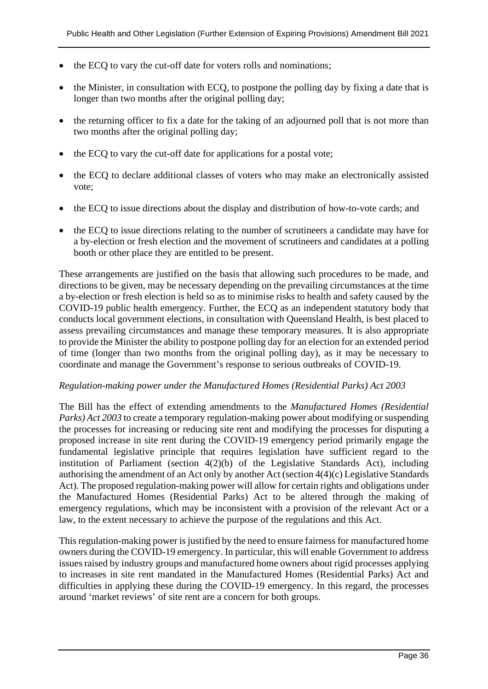- the ECQ to vary the cut-off date for voters rolls and nominations;
- the Minister, in consultation with ECQ, to postpone the polling day by fixing a date that is longer than two months after the original polling day;
- the returning officer to fix a date for the taking of an adjourned poll that is not more than two months after the original polling day;
- the ECQ to vary the cut-off date for applications for a postal vote;
- the ECQ to declare additional classes of voters who may make an electronically assisted vote;
- the ECQ to issue directions about the display and distribution of how-to-vote cards; and
- the ECQ to issue directions relating to the number of scrutineers a candidate may have for a by-election or fresh election and the movement of scrutineers and candidates at a polling booth or other place they are entitled to be present.

These arrangements are justified on the basis that allowing such procedures to be made, and directions to be given, may be necessary depending on the prevailing circumstances at the time a by-election or fresh election is held so as to minimise risks to health and safety caused by the COVID-19 public health emergency. Further, the ECQ as an independent statutory body that conducts local government elections, in consultation with Queensland Health, is best placed to assess prevailing circumstances and manage these temporary measures. It is also appropriate to provide the Minister the ability to postpone polling day for an election for an extended period of time (longer than two months from the original polling day), as it may be necessary to coordinate and manage the Government's response to serious outbreaks of COVID-19.

#### *Regulation-making power under the Manufactured Homes (Residential Parks) Act 2003*

The Bill has the effect of extending amendments to the *Manufactured Homes (Residential Parks) Act 2003* to create a temporary regulation-making power about modifying or suspending the processes for increasing or reducing site rent and modifying the processes for disputing a proposed increase in site rent during the COVID-19 emergency period primarily engage the fundamental legislative principle that requires legislation have sufficient regard to the institution of Parliament (section  $4(2)(b)$  of the Legislative Standards Act), including authorising the amendment of an Act only by another Act (section 4(4)(c) Legislative Standards Act). The proposed regulation-making power will allow for certain rights and obligations under the Manufactured Homes (Residential Parks) Act to be altered through the making of emergency regulations, which may be inconsistent with a provision of the relevant Act or a law, to the extent necessary to achieve the purpose of the regulations and this Act.

This regulation-making power is justified by the need to ensure fairness for manufactured home owners during the COVID-19 emergency. In particular, this will enable Government to address issues raised by industry groups and manufactured home owners about rigid processes applying to increases in site rent mandated in the Manufactured Homes (Residential Parks) Act and difficulties in applying these during the COVID-19 emergency. In this regard, the processes around 'market reviews' of site rent are a concern for both groups.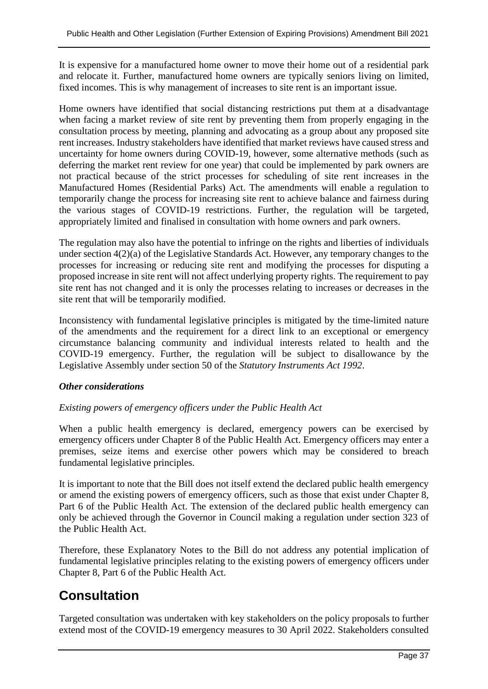It is expensive for a manufactured home owner to move their home out of a residential park and relocate it. Further, manufactured home owners are typically seniors living on limited, fixed incomes. This is why management of increases to site rent is an important issue.

Home owners have identified that social distancing restrictions put them at a disadvantage when facing a market review of site rent by preventing them from properly engaging in the consultation process by meeting, planning and advocating as a group about any proposed site rent increases. Industry stakeholders have identified that market reviews have caused stress and uncertainty for home owners during COVID-19, however, some alternative methods (such as deferring the market rent review for one year) that could be implemented by park owners are not practical because of the strict processes for scheduling of site rent increases in the Manufactured Homes (Residential Parks) Act. The amendments will enable a regulation to temporarily change the process for increasing site rent to achieve balance and fairness during the various stages of COVID-19 restrictions. Further, the regulation will be targeted, appropriately limited and finalised in consultation with home owners and park owners.

The regulation may also have the potential to infringe on the rights and liberties of individuals under section 4(2)(a) of the Legislative Standards Act. However, any temporary changes to the processes for increasing or reducing site rent and modifying the processes for disputing a proposed increase in site rent will not affect underlying property rights. The requirement to pay site rent has not changed and it is only the processes relating to increases or decreases in the site rent that will be temporarily modified.

Inconsistency with fundamental legislative principles is mitigated by the time-limited nature of the amendments and the requirement for a direct link to an exceptional or emergency circumstance balancing community and individual interests related to health and the COVID-19 emergency. Further, the regulation will be subject to disallowance by the Legislative Assembly under section 50 of the *Statutory Instruments Act 1992*.

#### *Other considerations*

#### *Existing powers of emergency officers under the Public Health Act*

When a public health emergency is declared, emergency powers can be exercised by emergency officers under Chapter 8 of the Public Health Act. Emergency officers may enter a premises, seize items and exercise other powers which may be considered to breach fundamental legislative principles.

It is important to note that the Bill does not itself extend the declared public health emergency or amend the existing powers of emergency officers, such as those that exist under Chapter 8, Part 6 of the Public Health Act. The extension of the declared public health emergency can only be achieved through the Governor in Council making a regulation under section 323 of the Public Health Act.

Therefore, these Explanatory Notes to the Bill do not address any potential implication of fundamental legislative principles relating to the existing powers of emergency officers under Chapter 8, Part 6 of the Public Health Act.

# **Consultation**

Targeted consultation was undertaken with key stakeholders on the policy proposals to further extend most of the COVID-19 emergency measures to 30 April 2022. Stakeholders consulted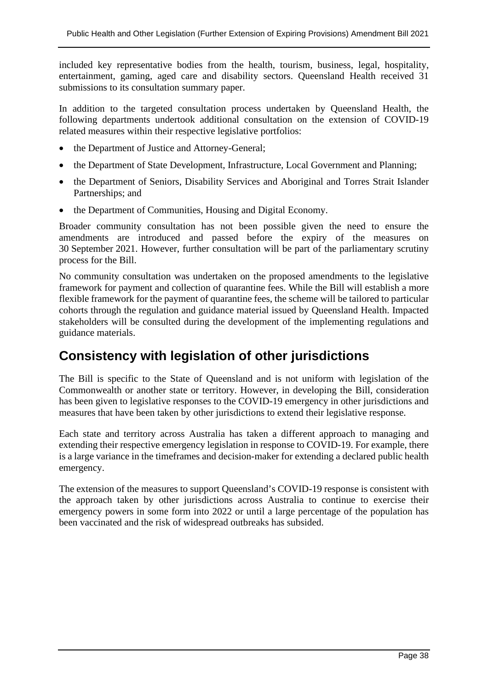included key representative bodies from the health, tourism, business, legal, hospitality, entertainment, gaming, aged care and disability sectors. Queensland Health received 31 submissions to its consultation summary paper.

In addition to the targeted consultation process undertaken by Queensland Health, the following departments undertook additional consultation on the extension of COVID-19 related measures within their respective legislative portfolios:

- the Department of Justice and Attorney-General;
- the Department of State Development, Infrastructure, Local Government and Planning;
- the Department of Seniors, Disability Services and Aboriginal and Torres Strait Islander Partnerships; and
- the Department of Communities, Housing and Digital Economy.

Broader community consultation has not been possible given the need to ensure the amendments are introduced and passed before the expiry of the measures on 30 September 2021. However, further consultation will be part of the parliamentary scrutiny process for the Bill.

No community consultation was undertaken on the proposed amendments to the legislative framework for payment and collection of quarantine fees. While the Bill will establish a more flexible framework for the payment of quarantine fees, the scheme will be tailored to particular cohorts through the regulation and guidance material issued by Queensland Health. Impacted stakeholders will be consulted during the development of the implementing regulations and guidance materials.

# **Consistency with legislation of other jurisdictions**

The Bill is specific to the State of Queensland and is not uniform with legislation of the Commonwealth or another state or territory. However, in developing the Bill, consideration has been given to legislative responses to the COVID-19 emergency in other jurisdictions and measures that have been taken by other jurisdictions to extend their legislative response.

Each state and territory across Australia has taken a different approach to managing and extending their respective emergency legislation in response to COVID-19. For example, there is a large variance in the timeframes and decision-maker for extending a declared public health emergency.

The extension of the measures to support Queensland's COVID-19 response is consistent with the approach taken by other jurisdictions across Australia to continue to exercise their emergency powers in some form into 2022 or until a large percentage of the population has been vaccinated and the risk of widespread outbreaks has subsided.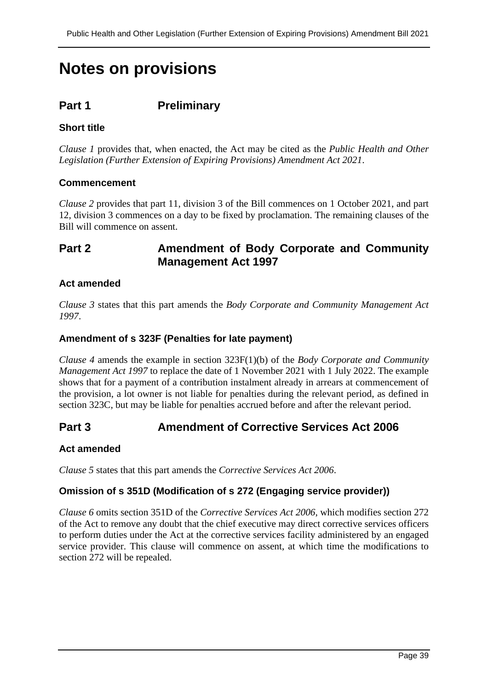# **Notes on provisions**

## **Part 1 Preliminary**

### **Short title**

*Clause 1* provides that, when enacted, the Act may be cited as the *Public Health and Other Legislation (Further Extension of Expiring Provisions) Amendment Act 2021*.

#### **Commencement**

*Clause 2* provides that part 11, division 3 of the Bill commences on 1 October 2021, and part 12, division 3 commences on a day to be fixed by proclamation. The remaining clauses of the Bill will commence on assent.

## **Part 2 Amendment of Body Corporate and Community Management Act 1997**

#### **Act amended**

*Clause 3* states that this part amends the *Body Corporate and Community Management Act 1997*.

#### **Amendment of s 323F (Penalties for late payment)**

*Clause 4* amends the example in section 323F(1)(b) of the *Body Corporate and Community Management Act 1997* to replace the date of 1 November 2021 with 1 July 2022. The example shows that for a payment of a contribution instalment already in arrears at commencement of the provision, a lot owner is not liable for penalties during the relevant period, as defined in section 323C, but may be liable for penalties accrued before and after the relevant period.

## **Part 3 Amendment of Corrective Services Act 2006**

#### **Act amended**

*Clause 5* states that this part amends the *Corrective Services Act 2006*.

#### **Omission of s 351D (Modification of s 272 (Engaging service provider))**

*Clause 6* omits section 351D of the *Corrective Services Act 2006*, which modifies section 272 of the Act to remove any doubt that the chief executive may direct corrective services officers to perform duties under the Act at the corrective services facility administered by an engaged service provider. This clause will commence on assent, at which time the modifications to section 272 will be repealed.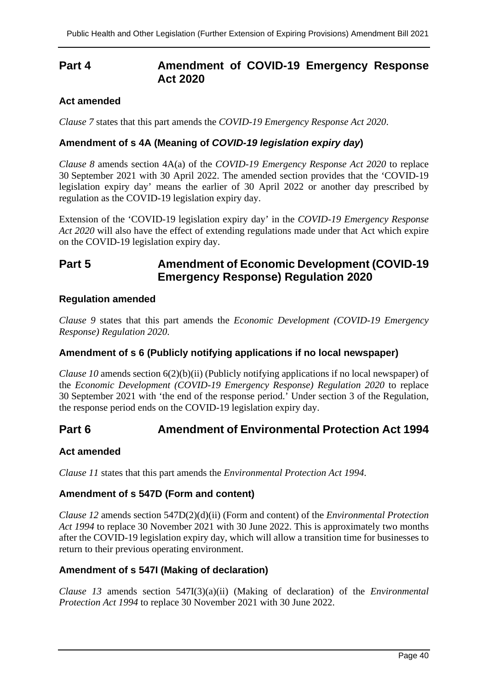## **Part 4 Amendment of COVID-19 Emergency Response Act 2020**

### **Act amended**

*Clause 7* states that this part amends the *COVID-19 Emergency Response Act 2020*.

### **Amendment of s 4A (Meaning of** *COVID-19 legislation expiry day***)**

*Clause 8* amends section 4A(a) of the *COVID-19 Emergency Response Act 2020* to replace 30 September 2021 with 30 April 2022. The amended section provides that the 'COVID-19 legislation expiry day' means the earlier of 30 April 2022 or another day prescribed by regulation as the COVID-19 legislation expiry day.

Extension of the 'COVID-19 legislation expiry day' in the *COVID-19 Emergency Response Act 2020* will also have the effect of extending regulations made under that Act which expire on the COVID-19 legislation expiry day.

## **Part 5 Amendment of Economic Development (COVID-19 Emergency Response) Regulation 2020**

#### **Regulation amended**

*Clause 9* states that this part amends the *Economic Development (COVID-19 Emergency Response) Regulation 2020*.

#### **Amendment of s 6 (Publicly notifying applications if no local newspaper)**

*Clause 10* amends section 6(2)(b)(ii) (Publicly notifying applications if no local newspaper) of the *Economic Development (COVID-19 Emergency Response) Regulation 2020* to replace 30 September 2021 with 'the end of the response period.' Under section 3 of the Regulation, the response period ends on the COVID-19 legislation expiry day.

## **Part 6 Amendment of Environmental Protection Act 1994**

#### **Act amended**

*Clause 11* states that this part amends the *Environmental Protection Act 1994*.

#### **Amendment of s 547D (Form and content)**

*Clause 12* amends section 547D(2)(d)(ii) (Form and content) of the *Environmental Protection Act 1994* to replace 30 November 2021 with 30 June 2022. This is approximately two months after the COVID-19 legislation expiry day, which will allow a transition time for businesses to return to their previous operating environment.

#### **Amendment of s 547I (Making of declaration)**

*Clause 13* amends section 547I(3)(a)(ii) (Making of declaration) of the *Environmental Protection Act 1994* to replace 30 November 2021 with 30 June 2022.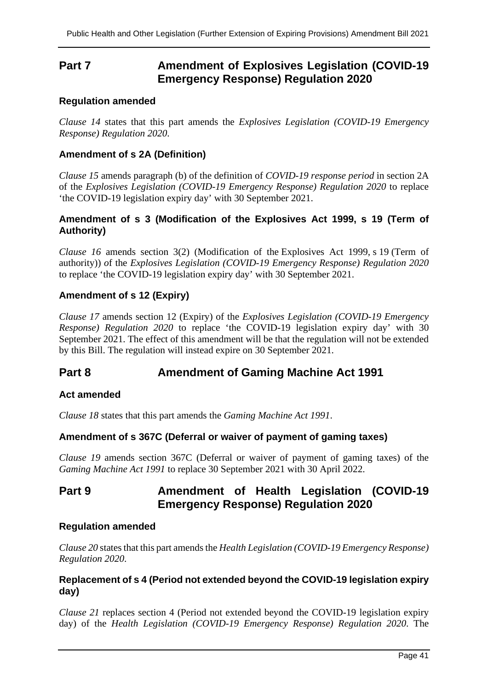## **Part 7 Amendment of Explosives Legislation (COVID-19 Emergency Response) Regulation 2020**

#### **Regulation amended**

*Clause 14* states that this part amends the *Explosives Legislation (COVID-19 Emergency Response) Regulation 2020*.

#### **Amendment of s 2A (Definition)**

*Clause 15* amends paragraph (b) of the definition of *COVID-19 response period* in section 2A of the *Explosives Legislation (COVID-19 Emergency Response) Regulation 2020* to replace 'the COVID-19 legislation expiry day' with 30 September 2021.

#### **Amendment of s 3 (Modification of the Explosives Act 1999, s 19 (Term of Authority)**

*Clause 16* amends section 3(2) (Modification of the [Explosives Act 1999,](https://www.legislation.qld.gov.au/link?version.series.id=34413ea2-921d-4840-b3cb-3feda04fee48&doc.id=act-1999-015&date=2021-05-31&type=act) s [19](https://www.legislation.qld.gov.au/link?guid=_2b7e8955-3b81-429b-b559-cf85a8c078c1&id=sec.19&version.series.id=34413ea2-921d-4840-b3cb-3feda04fee48&doc.id=act-1999-015&date=2021-05-31&type=act) (Term of authority)) *o*f the *Explosives Legislation (COVID-19 Emergency Response) Regulation 2020* to replace 'the COVID-19 legislation expiry day' with 30 September 2021.

#### **Amendment of s 12 (Expiry)**

*Clause 17* amends section 12 (Expiry) of the *Explosives Legislation (COVID-19 Emergency Response) Regulation 2020* to replace 'the COVID-19 legislation expiry day' with 30 September 2021. The effect of this amendment will be that the regulation will not be extended by this Bill. The regulation will instead expire on 30 September 2021.

## **Part 8 Amendment of Gaming Machine Act 1991**

#### **Act amended**

*Clause 18* states that this part amends the *Gaming Machine Act 1991*.

#### **Amendment of s 367C (Deferral or waiver of payment of gaming taxes)**

*Clause 19* amends section 367C (Deferral or waiver of payment of gaming taxes) of the *Gaming Machine Act 1991* to replace 30 September 2021 with 30 April 2022.

## **Part 9 Amendment of Health Legislation (COVID-19 Emergency Response) Regulation 2020**

#### **Regulation amended**

*Clause 20* states that this part amends the *Health Legislation (COVID-19 Emergency Response) Regulation 2020*.

#### **Replacement of s 4 (Period not extended beyond the COVID-19 legislation expiry day)**

*Clause 21* replaces section 4 (Period not extended beyond the COVID-19 legislation expiry day) of the *Health Legislation (COVID-19 Emergency Response) Regulation 2020*. The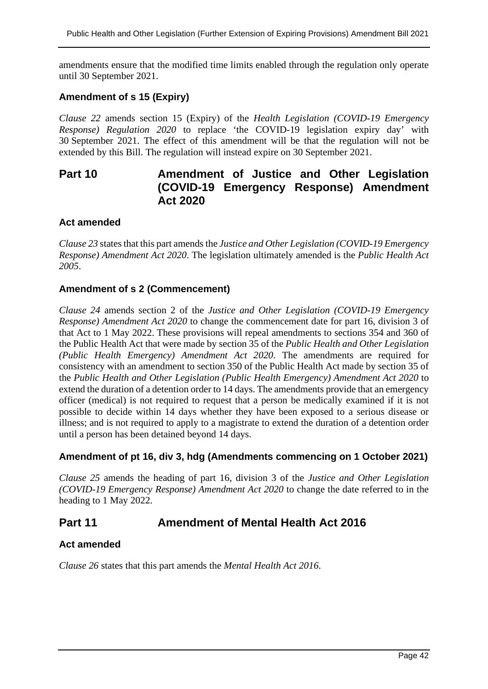amendments ensure that the modified time limits enabled through the regulation only operate until 30 September 2021.

#### **Amendment of s 15 (Expiry)**

*Clause 22* amends section 15 (Expiry) of the *Health Legislation (COVID-19 Emergency Response) Regulation 2020* to replace 'the COVID-19 legislation expiry day' with 30 September 2021. The effect of this amendment will be that the regulation will not be extended by this Bill. The regulation will instead expire on 30 September 2021.

# **Part 10 Amendment of Justice and Other Legislation (COVID-19 Emergency Response) Amendment Act 2020**

#### **Act amended**

*Clause 23* states that this part amends the *Justice and Other Legislation (COVID-19 Emergency Response) Amendment Act 2020*. The legislation ultimately amended is the *Public Health Act 2005*.

#### **Amendment of s 2 (Commencement)**

*Clause 24* amends section 2 of the *Justice and Other Legislation (COVID-19 Emergency Response) Amendment Act 2020* to change the commencement date for part 16, division 3 of that Act to 1 May 2022. These provisions will repeal amendments to sections 354 and 360 of the Public Health Act that were made by section 35 of the *Public Health and Other Legislation (Public Health Emergency) Amendment Act 2020*. The amendments are required for consistency with an amendment to section 350 of the Public Health Act made by section 35 of the *Public Health and Other Legislation (Public Health Emergency) Amendment Act 2020* to extend the duration of a detention order to 14 days. The amendments provide that an emergency officer (medical) is not required to request that a person be medically examined if it is not possible to decide within 14 days whether they have been exposed to a serious disease or illness; and is not required to apply to a magistrate to extend the duration of a detention order until a person has been detained beyond 14 days.

#### **Amendment of pt 16, div 3, hdg (Amendments commencing on 1 October 2021)**

*Clause 25* amends the heading of part 16, division 3 of the *Justice and Other Legislation (COVID-19 Emergency Response) Amendment Act 2020* to change the date referred to in the heading to 1 May 2022.

## **Part 11 Amendment of Mental Health Act 2016**

#### **Act amended**

*Clause 26* states that this part amends the *Mental Health Act 2016*.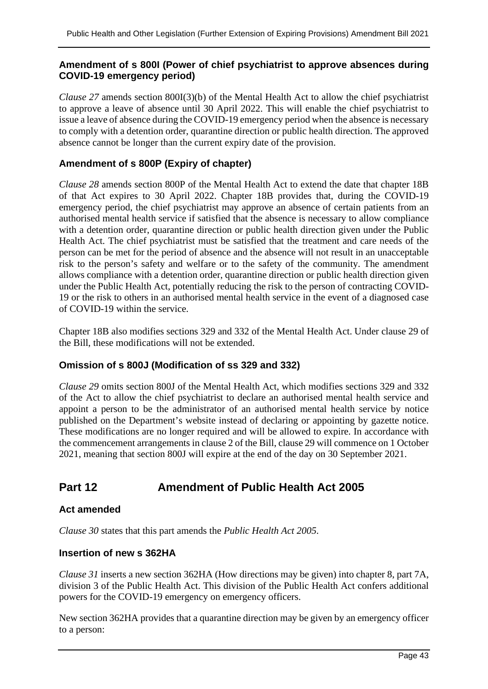### **Amendment of s 800I (Power of chief psychiatrist to approve absences during COVID-19 emergency period)**

*Clause 27* amends section 800I(3)(b) of the Mental Health Act to allow the chief psychiatrist to approve a leave of absence until 30 April 2022. This will enable the chief psychiatrist to issue a leave of absence during the COVID-19 emergency period when the absence is necessary to comply with a detention order, quarantine direction or public health direction. The approved absence cannot be longer than the current expiry date of the provision.

### **Amendment of s 800P (Expiry of chapter)**

*Clause 28* amends section 800P of the Mental Health Act to extend the date that chapter 18B of that Act expires to 30 April 2022. Chapter 18B provides that, during the COVID-19 emergency period, the chief psychiatrist may approve an absence of certain patients from an authorised mental health service if satisfied that the absence is necessary to allow compliance with a detention order, quarantine direction or public health direction given under the Public Health Act. The chief psychiatrist must be satisfied that the treatment and care needs of the person can be met for the period of absence and the absence will not result in an unacceptable risk to the person's safety and welfare or to the safety of the community. The amendment allows compliance with a detention order, quarantine direction or public health direction given under the Public Health Act, potentially reducing the risk to the person of contracting COVID-19 or the risk to others in an authorised mental health service in the event of a diagnosed case of COVID-19 within the service.

Chapter 18B also modifies sections 329 and 332 of the Mental Health Act. Under clause 29 of the Bill, these modifications will not be extended.

#### **Omission of s 800J (Modification of ss 329 and 332)**

*Clause 29* omits section 800J of the Mental Health Act, which modifies sections 329 and 332 of the Act to allow the chief psychiatrist to declare an authorised mental health service and appoint a person to be the administrator of an authorised mental health service by notice published on the Department's website instead of declaring or appointing by gazette notice. These modifications are no longer required and will be allowed to expire. In accordance with the commencement arrangements in clause 2 of the Bill, clause 29 will commence on 1 October 2021, meaning that section 800J will expire at the end of the day on 30 September 2021.

# **Part 12 Amendment of Public Health Act 2005**

#### **Act amended**

*Clause 30* states that this part amends the *Public Health Act 2005*.

#### **Insertion of new s 362HA**

*Clause 31* inserts a new section 362HA (How directions may be given) into chapter 8, part 7A, division 3 of the Public Health Act. This division of the Public Health Act confers additional powers for the COVID-19 emergency on emergency officers.

New section 362HA provides that a quarantine direction may be given by an emergency officer to a person: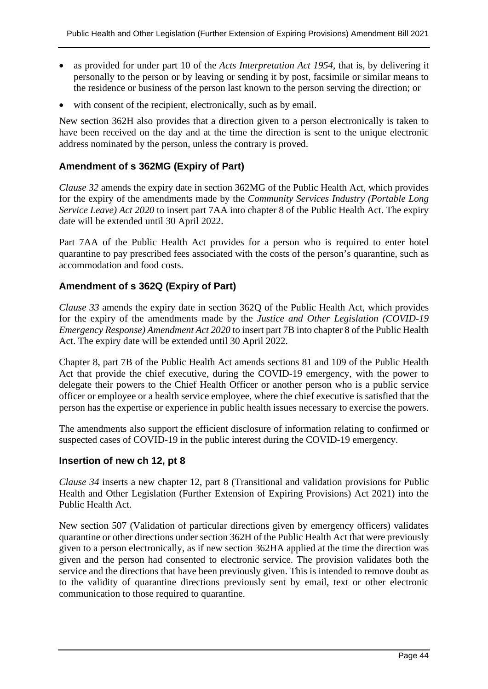- as provided for under part 10 of the *Acts Interpretation Act 1954*, that is, by delivering it personally to the person or by leaving or sending it by post, facsimile or similar means to the residence or business of the person last known to the person serving the direction; or
- with consent of the recipient, electronically, such as by email.

New section 362H also provides that a direction given to a person electronically is taken to have been received on the day and at the time the direction is sent to the unique electronic address nominated by the person, unless the contrary is proved.

### **Amendment of s 362MG (Expiry of Part)**

*Clause 32* amends the expiry date in section 362MG of the Public Health Act, which provides for the expiry of the amendments made by the *Community Services Industry (Portable Long Service Leave) Act 2020* to insert part 7AA into chapter 8 of the Public Health Act. The expiry date will be extended until 30 April 2022.

Part 7AA of the Public Health Act provides for a person who is required to enter hotel quarantine to pay prescribed fees associated with the costs of the person's quarantine, such as accommodation and food costs.

### **Amendment of s 362Q (Expiry of Part)**

*Clause 33* amends the expiry date in section 362Q of the Public Health Act, which provides for the expiry of the amendments made by the *Justice and Other Legislation (COVID-19 Emergency Response) Amendment Act 2020* to insert part 7B into chapter 8 of the Public Health Act. The expiry date will be extended until 30 April 2022.

Chapter 8, part 7B of the Public Health Act amends sections 81 and 109 of the Public Health Act that provide the chief executive, during the COVID-19 emergency, with the power to delegate their powers to the Chief Health Officer or another person who is a public service officer or employee or a health service employee, where the chief executive is satisfied that the person has the expertise or experience in public health issues necessary to exercise the powers.

The amendments also support the efficient disclosure of information relating to confirmed or suspected cases of COVID-19 in the public interest during the COVID-19 emergency.

#### **Insertion of new ch 12, pt 8**

*Clause 34* inserts a new chapter 12, part 8 (Transitional and validation provisions for Public Health and Other Legislation (Further Extension of Expiring Provisions) Act 2021) into the Public Health Act.

New section 507 (Validation of particular directions given by emergency officers) validates quarantine or other directions under section 362H of the Public Health Act that were previously given to a person electronically, as if new section 362HA applied at the time the direction was given and the person had consented to electronic service. The provision validates both the service and the directions that have been previously given. This is intended to remove doubt as to the validity of quarantine directions previously sent by email, text or other electronic communication to those required to quarantine.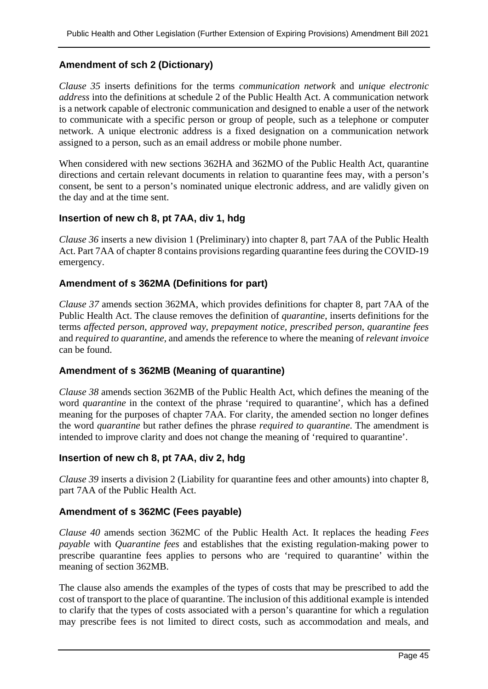### **Amendment of sch 2 (Dictionary)**

*Clause 35* inserts definitions for the terms *communication network* and *unique electronic address* into the definitions at schedule 2 of the Public Health Act. A communication network is a network capable of electronic communication and designed to enable a user of the network to communicate with a specific person or group of people, such as a telephone or computer network. A unique electronic address is a fixed designation on a communication network assigned to a person, such as an email address or mobile phone number.

When considered with new sections 362HA and 362MO of the Public Health Act, quarantine directions and certain relevant documents in relation to quarantine fees may, with a person's consent, be sent to a person's nominated unique electronic address, and are validly given on the day and at the time sent.

#### **Insertion of new ch 8, pt 7AA, div 1, hdg**

*Clause 36* inserts a new division 1 (Preliminary) into chapter 8, part 7AA of the Public Health Act. Part 7AA of chapter 8 contains provisions regarding quarantine fees during the COVID-19 emergency.

#### **Amendment of s 362MA (Definitions for part)**

*Clause 37* amends section 362MA, which provides definitions for chapter 8, part 7AA of the Public Health Act. The clause removes the definition of *quarantine*, inserts definitions for the terms *affected person*, *approved way*, *prepayment notice*, *prescribed person*, *quarantine fees* and *required to quarantine*, and amends the reference to where the meaning of *relevant invoice* can be found.

#### **Amendment of s 362MB (Meaning of quarantine)**

*Clause 38* amends section 362MB of the Public Health Act, which defines the meaning of the word *quarantine* in the context of the phrase 'required to quarantine', which has a defined meaning for the purposes of chapter 7AA. For clarity, the amended section no longer defines the word *quarantine* but rather defines the phrase *required to quarantine*. The amendment is intended to improve clarity and does not change the meaning of 'required to quarantine'.

#### **Insertion of new ch 8, pt 7AA, div 2, hdg**

*Clause 39* inserts a division 2 (Liability for quarantine fees and other amounts) into chapter 8, part 7AA of the Public Health Act.

#### **Amendment of s 362MC (Fees payable)**

*Clause 40* amends section 362MC of the Public Health Act. It replaces the heading *Fees payable* with *Quarantine fees* and establishes that the existing regulation-making power to prescribe quarantine fees applies to persons who are 'required to quarantine' within the meaning of section 362MB.

The clause also amends the examples of the types of costs that may be prescribed to add the cost of transport to the place of quarantine. The inclusion of this additional example is intended to clarify that the types of costs associated with a person's quarantine for which a regulation may prescribe fees is not limited to direct costs, such as accommodation and meals, and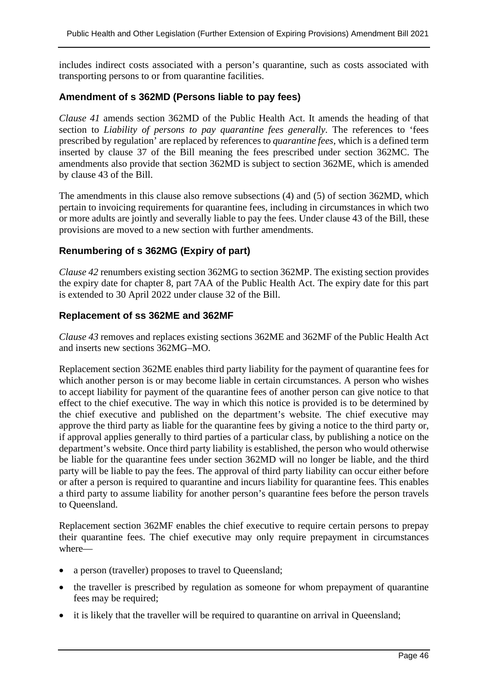includes indirect costs associated with a person's quarantine, such as costs associated with transporting persons to or from quarantine facilities.

#### **Amendment of s 362MD (Persons liable to pay fees)**

*Clause 41* amends section 362MD of the Public Health Act. It amends the heading of that section to *Liability of persons to pay quarantine fees generally*. The references to 'fees prescribed by regulation' are replaced by references to *quarantine fees*, which is a defined term inserted by clause 37 of the Bill meaning the fees prescribed under section 362MC. The amendments also provide that section 362MD is subject to section 362ME, which is amended by clause 43 of the Bill.

The amendments in this clause also remove subsections (4) and (5) of section 362MD, which pertain to invoicing requirements for quarantine fees, including in circumstances in which two or more adults are jointly and severally liable to pay the fees. Under clause 43 of the Bill, these provisions are moved to a new section with further amendments.

#### **Renumbering of s 362MG (Expiry of part)**

*Clause 42* renumbers existing section 362MG to section 362MP. The existing section provides the expiry date for chapter 8, part 7AA of the Public Health Act. The expiry date for this part is extended to 30 April 2022 under clause 32 of the Bill.

#### **Replacement of ss 362ME and 362MF**

*Clause 43* removes and replaces existing sections 362ME and 362MF of the Public Health Act and inserts new sections 362MG–MO.

Replacement section 362ME enables third party liability for the payment of quarantine fees for which another person is or may become liable in certain circumstances. A person who wishes to accept liability for payment of the quarantine fees of another person can give notice to that effect to the chief executive. The way in which this notice is provided is to be determined by the chief executive and published on the department's website. The chief executive may approve the third party as liable for the quarantine fees by giving a notice to the third party or, if approval applies generally to third parties of a particular class, by publishing a notice on the department's website. Once third party liability is established, the person who would otherwise be liable for the quarantine fees under section 362MD will no longer be liable, and the third party will be liable to pay the fees. The approval of third party liability can occur either before or after a person is required to quarantine and incurs liability for quarantine fees. This enables a third party to assume liability for another person's quarantine fees before the person travels to Queensland.

Replacement section 362MF enables the chief executive to require certain persons to prepay their quarantine fees. The chief executive may only require prepayment in circumstances where—

- a person (traveller) proposes to travel to Queensland;
- the traveller is prescribed by regulation as someone for whom prepayment of quarantine fees may be required;
- it is likely that the traveller will be required to quarantine on arrival in Queensland;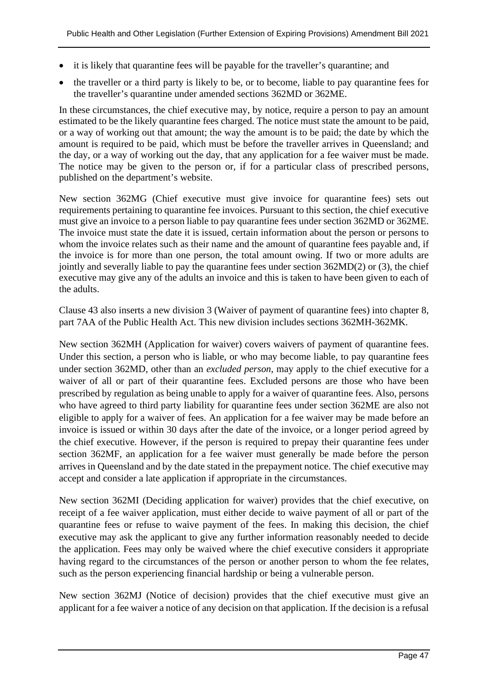- it is likely that quarantine fees will be payable for the traveller's quarantine; and
- the traveller or a third party is likely to be, or to become, liable to pay quarantine fees for the traveller's quarantine under amended sections 362MD or 362ME.

In these circumstances, the chief executive may, by notice, require a person to pay an amount estimated to be the likely quarantine fees charged. The notice must state the amount to be paid, or a way of working out that amount; the way the amount is to be paid; the date by which the amount is required to be paid, which must be before the traveller arrives in Queensland; and the day, or a way of working out the day, that any application for a fee waiver must be made. The notice may be given to the person or, if for a particular class of prescribed persons, published on the department's website.

New section 362MG (Chief executive must give invoice for quarantine fees) sets out requirements pertaining to quarantine fee invoices. Pursuant to this section, the chief executive must give an invoice to a person liable to pay quarantine fees under section 362MD or 362ME. The invoice must state the date it is issued, certain information about the person or persons to whom the invoice relates such as their name and the amount of quarantine fees payable and, if the invoice is for more than one person, the total amount owing. If two or more adults are jointly and severally liable to pay the quarantine fees under section 362MD(2) or (3), the chief executive may give any of the adults an invoice and this is taken to have been given to each of the adults.

Clause 43 also inserts a new division 3 (Waiver of payment of quarantine fees) into chapter 8, part 7AA of the Public Health Act. This new division includes sections 362MH-362MK.

New section 362MH (Application for waiver) covers waivers of payment of quarantine fees. Under this section, a person who is liable, or who may become liable, to pay quarantine fees under section 362MD, other than an *excluded person*, may apply to the chief executive for a waiver of all or part of their quarantine fees. Excluded persons are those who have been prescribed by regulation as being unable to apply for a waiver of quarantine fees. Also, persons who have agreed to third party liability for quarantine fees under section 362ME are also not eligible to apply for a waiver of fees. An application for a fee waiver may be made before an invoice is issued or within 30 days after the date of the invoice, or a longer period agreed by the chief executive. However, if the person is required to prepay their quarantine fees under section 362MF, an application for a fee waiver must generally be made before the person arrives in Queensland and by the date stated in the prepayment notice. The chief executive may accept and consider a late application if appropriate in the circumstances.

New section 362MI (Deciding application for waiver) provides that the chief executive, on receipt of a fee waiver application, must either decide to waive payment of all or part of the quarantine fees or refuse to waive payment of the fees. In making this decision, the chief executive may ask the applicant to give any further information reasonably needed to decide the application. Fees may only be waived where the chief executive considers it appropriate having regard to the circumstances of the person or another person to whom the fee relates, such as the person experiencing financial hardship or being a vulnerable person.

New section 362MJ (Notice of decision) provides that the chief executive must give an applicant for a fee waiver a notice of any decision on that application. If the decision is a refusal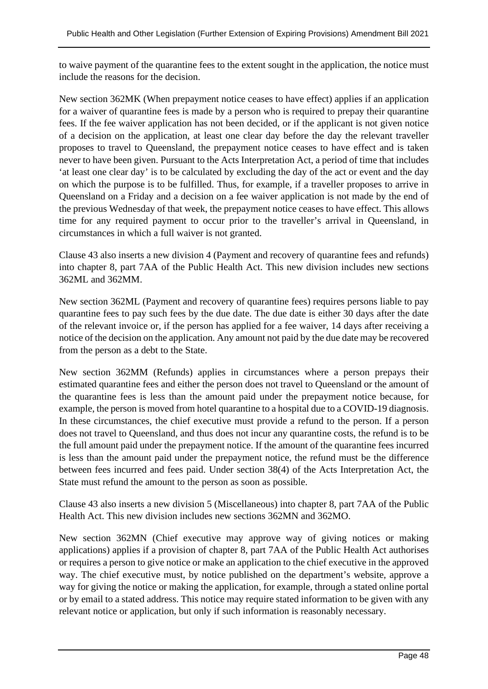to waive payment of the quarantine fees to the extent sought in the application, the notice must include the reasons for the decision.

New section 362MK (When prepayment notice ceases to have effect) applies if an application for a waiver of quarantine fees is made by a person who is required to prepay their quarantine fees. If the fee waiver application has not been decided, or if the applicant is not given notice of a decision on the application, at least one clear day before the day the relevant traveller proposes to travel to Queensland, the prepayment notice ceases to have effect and is taken never to have been given. Pursuant to the Acts Interpretation Act, a period of time that includes 'at least one clear day' is to be calculated by excluding the day of the act or event and the day on which the purpose is to be fulfilled. Thus, for example, if a traveller proposes to arrive in Queensland on a Friday and a decision on a fee waiver application is not made by the end of the previous Wednesday of that week, the prepayment notice ceases to have effect. This allows time for any required payment to occur prior to the traveller's arrival in Queensland, in circumstances in which a full waiver is not granted.

Clause 43 also inserts a new division 4 (Payment and recovery of quarantine fees and refunds) into chapter 8, part 7AA of the Public Health Act. This new division includes new sections 362ML and 362MM.

New section 362ML (Payment and recovery of quarantine fees) requires persons liable to pay quarantine fees to pay such fees by the due date. The due date is either 30 days after the date of the relevant invoice or, if the person has applied for a fee waiver, 14 days after receiving a notice of the decision on the application. Any amount not paid by the due date may be recovered from the person as a debt to the State.

New section 362MM (Refunds) applies in circumstances where a person prepays their estimated quarantine fees and either the person does not travel to Queensland or the amount of the quarantine fees is less than the amount paid under the prepayment notice because, for example, the person is moved from hotel quarantine to a hospital due to a COVID-19 diagnosis. In these circumstances, the chief executive must provide a refund to the person. If a person does not travel to Queensland, and thus does not incur any quarantine costs, the refund is to be the full amount paid under the prepayment notice. If the amount of the quarantine fees incurred is less than the amount paid under the prepayment notice, the refund must be the difference between fees incurred and fees paid. Under section 38(4) of the Acts Interpretation Act, the State must refund the amount to the person as soon as possible.

Clause 43 also inserts a new division 5 (Miscellaneous) into chapter 8, part 7AA of the Public Health Act. This new division includes new sections 362MN and 362MO.

New section 362MN (Chief executive may approve way of giving notices or making applications) applies if a provision of chapter 8, part 7AA of the Public Health Act authorises or requires a person to give notice or make an application to the chief executive in the approved way. The chief executive must, by notice published on the department's website, approve a way for giving the notice or making the application, for example, through a stated online portal or by email to a stated address. This notice may require stated information to be given with any relevant notice or application, but only if such information is reasonably necessary.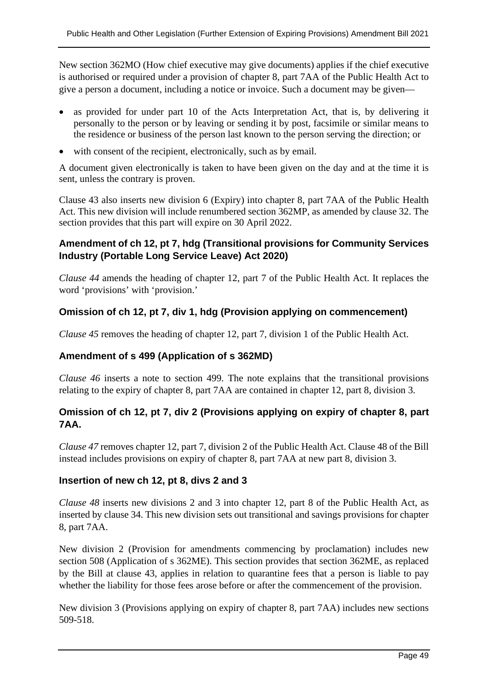New section 362MO (How chief executive may give documents) applies if the chief executive is authorised or required under a provision of chapter 8, part 7AA of the Public Health Act to give a person a document, including a notice or invoice. Such a document may be given—

- as provided for under part 10 of the Acts Interpretation Act, that is, by delivering it personally to the person or by leaving or sending it by post, facsimile or similar means to the residence or business of the person last known to the person serving the direction; or
- with consent of the recipient, electronically, such as by email.

A document given electronically is taken to have been given on the day and at the time it is sent, unless the contrary is proven.

Clause 43 also inserts new division 6 (Expiry) into chapter 8, part 7AA of the Public Health Act. This new division will include renumbered section 362MP, as amended by clause 32. The section provides that this part will expire on 30 April 2022.

### **Amendment of ch 12, pt 7, hdg (Transitional provisions for Community Services Industry (Portable Long Service Leave) Act 2020)**

*Clause 44* amends the heading of chapter 12, part 7 of the Public Health Act. It replaces the word 'provisions' with 'provision.'

## **Omission of ch 12, pt 7, div 1, hdg (Provision applying on commencement)**

*Clause 45* removes the heading of chapter 12, part 7, division 1 of the Public Health Act.

#### **Amendment of s 499 (Application of s 362MD)**

*Clause 46* inserts a note to section 499. The note explains that the transitional provisions relating to the expiry of chapter 8, part 7AA are contained in chapter 12, part 8, division 3.

## **Omission of ch 12, pt 7, div 2 (Provisions applying on expiry of chapter 8, part 7AA.**

*Clause 47* removes chapter 12, part 7, division 2 of the Public Health Act. Clause 48 of the Bill instead includes provisions on expiry of chapter 8, part 7AA at new part 8, division 3.

#### **Insertion of new ch 12, pt 8, divs 2 and 3**

*Clause 48* inserts new divisions 2 and 3 into chapter 12, part 8 of the Public Health Act, as inserted by clause 34. This new division sets out transitional and savings provisions for chapter 8, part 7AA.

New division 2 (Provision for amendments commencing by proclamation) includes new section 508 (Application of s 362ME). This section provides that section 362ME, as replaced by the Bill at clause 43, applies in relation to quarantine fees that a person is liable to pay whether the liability for those fees arose before or after the commencement of the provision.

New division 3 (Provisions applying on expiry of chapter 8, part 7AA) includes new sections 509-518.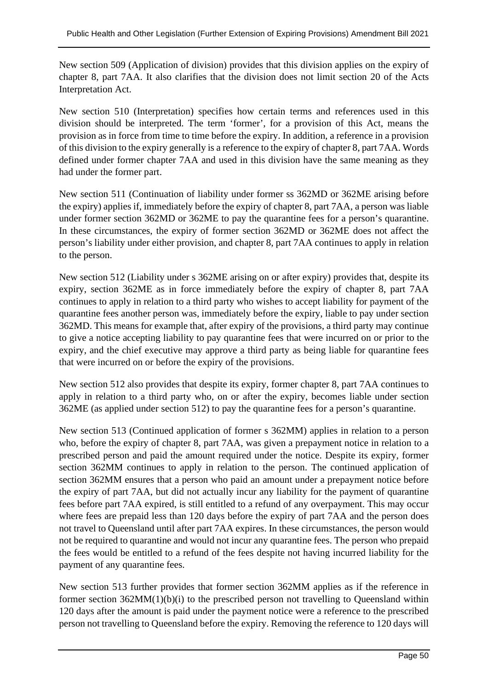New section 509 (Application of division) provides that this division applies on the expiry of chapter 8, part 7AA. It also clarifies that the division does not limit section 20 of the Acts Interpretation Act.

New section 510 (Interpretation) specifies how certain terms and references used in this division should be interpreted. The term 'former', for a provision of this Act, means the provision as in force from time to time before the expiry. In addition, a reference in a provision of this division to the expiry generally is a reference to the expiry of chapter 8, part 7AA. Words defined under former chapter 7AA and used in this division have the same meaning as they had under the former part.

New section 511 (Continuation of liability under former ss 362MD or 362ME arising before the expiry) applies if, immediately before the expiry of chapter 8, part 7AA, a person was liable under former section 362MD or 362ME to pay the quarantine fees for a person's quarantine. In these circumstances, the expiry of former section 362MD or 362ME does not affect the person's liability under either provision, and chapter 8, part 7AA continues to apply in relation to the person.

New section 512 (Liability under s 362ME arising on or after expiry) provides that, despite its expiry, section 362ME as in force immediately before the expiry of chapter 8, part 7AA continues to apply in relation to a third party who wishes to accept liability for payment of the quarantine fees another person was, immediately before the expiry, liable to pay under section 362MD. This means for example that, after expiry of the provisions, a third party may continue to give a notice accepting liability to pay quarantine fees that were incurred on or prior to the expiry, and the chief executive may approve a third party as being liable for quarantine fees that were incurred on or before the expiry of the provisions.

New section 512 also provides that despite its expiry, former chapter 8, part 7AA continues to apply in relation to a third party who, on or after the expiry, becomes liable under section 362ME (as applied under section 512) to pay the quarantine fees for a person's quarantine.

New section 513 (Continued application of former s 362MM) applies in relation to a person who, before the expiry of chapter 8, part 7AA, was given a prepayment notice in relation to a prescribed person and paid the amount required under the notice. Despite its expiry, former section 362MM continues to apply in relation to the person. The continued application of section 362MM ensures that a person who paid an amount under a prepayment notice before the expiry of part 7AA, but did not actually incur any liability for the payment of quarantine fees before part 7AA expired, is still entitled to a refund of any overpayment. This may occur where fees are prepaid less than 120 days before the expiry of part 7AA and the person does not travel to Queensland until after part 7AA expires. In these circumstances, the person would not be required to quarantine and would not incur any quarantine fees. The person who prepaid the fees would be entitled to a refund of the fees despite not having incurred liability for the payment of any quarantine fees.

New section 513 further provides that former section 362MM applies as if the reference in former section 362MM(1)(b)(i) to the prescribed person not travelling to Queensland within 120 days after the amount is paid under the payment notice were a reference to the prescribed person not travelling to Queensland before the expiry. Removing the reference to 120 days will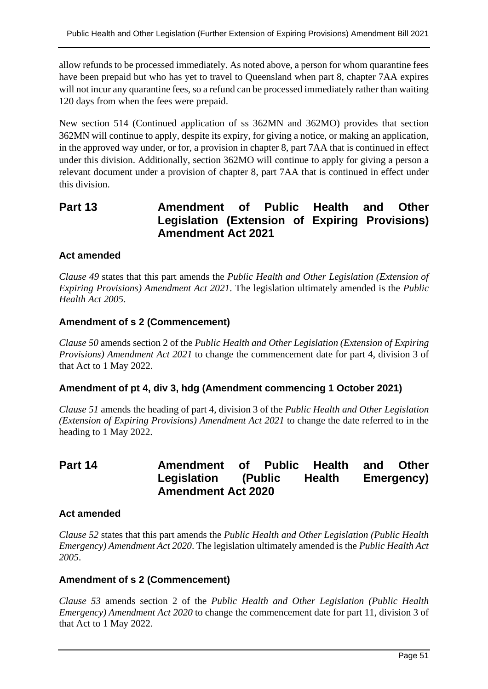allow refunds to be processed immediately. As noted above, a person for whom quarantine fees have been prepaid but who has yet to travel to Queensland when part 8, chapter 7AA expires will not incur any quarantine fees, so a refund can be processed immediately rather than waiting 120 days from when the fees were prepaid.

New section 514 (Continued application of ss 362MN and 362MO) provides that section 362MN will continue to apply, despite its expiry, for giving a notice, or making an application, in the approved way under, or for, a provision in chapter 8, part 7AA that is continued in effect under this division. Additionally, section 362MO will continue to apply for giving a person a relevant document under a provision of chapter 8, part 7AA that is continued in effect under this division.

# **Part 13 Amendment of Public Health and Other Legislation (Extension of Expiring Provisions) Amendment Act 2021**

### **Act amended**

*Clause 49* states that this part amends the *Public Health and Other Legislation (Extension of Expiring Provisions) Amendment Act 2021*. The legislation ultimately amended is the *Public Health Act 2005*.

### **Amendment of s 2 (Commencement)**

*Clause 50* amends section 2 of the *Public Health and Other Legislation (Extension of Expiring Provisions) Amendment Act 2021* to change the commencement date for part 4, division 3 of that Act to 1 May 2022.

#### **Amendment of pt 4, div 3, hdg (Amendment commencing 1 October 2021)**

*Clause 51* amends the heading of part 4, division 3 of the *Public Health and Other Legislation (Extension of Expiring Provisions) Amendment Act 2021* to change the date referred to in the heading to 1 May 2022.

# **Part 14 Amendment of Public Health and Other Legislation (Public Health Emergency) Amendment Act 2020**

#### **Act amended**

*Clause 52* states that this part amends the *Public Health and Other Legislation (Public Health Emergency) Amendment Act 2020*. The legislation ultimately amended is the *Public Health Act 2005*.

#### **Amendment of s 2 (Commencement)**

*Clause 53* amends section 2 of the *Public Health and Other Legislation (Public Health Emergency) Amendment Act 2020* to change the commencement date for part 11, division 3 of that Act to 1 May 2022.